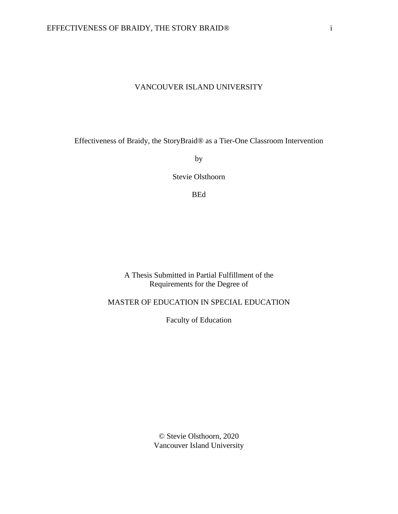## VANCOUVER ISLAND UNIVERSITY

Effectiveness of Braidy, the StoryBraid® as a Tier-One Classroom Intervention

by

Stevie Olsthoorn

BEd

## A Thesis Submitted in Partial Fulfillment of the Requirements for the Degree of

# MASTER OF EDUCATION IN SPECIAL EDUCATION

Faculty of Education

© Stevie Olsthoorn, 2020 Vancouver Island University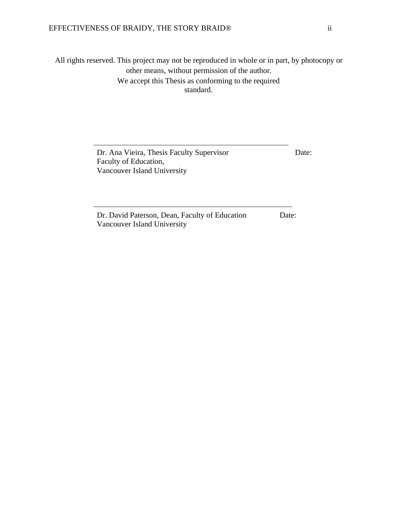All rights reserved. This project may not be reproduced in whole or in part, by photocopy or other means, without permission of the author. We accept this Thesis as conforming to the required standard.

> Dr. Ana Vieira, Thesis Faculty Supervisor Date: Faculty of Education, Vancouver Island University

Dr. David Paterson, Dean, Faculty of Education Date: Vancouver Island University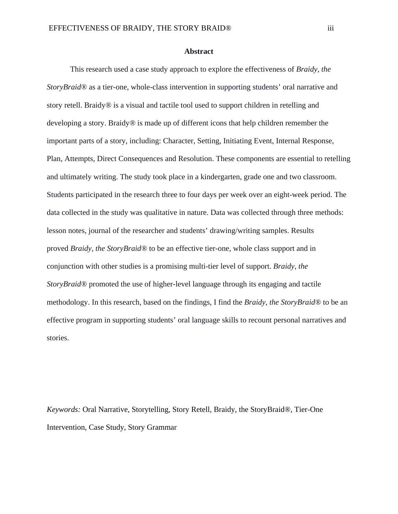#### **Abstract**

This research used a case study approach to explore the effectiveness of *Braidy, the StoryBraid®* as a tier-one, whole-class intervention in supporting students' oral narrative and story retell. Braidy*®* is a visual and tactile tool used to support children in retelling and developing a story. Braidy*®* is made up of different icons that help children remember the important parts of a story, including: Character, Setting, Initiating Event, Internal Response, Plan, Attempts, Direct Consequences and Resolution. These components are essential to retelling and ultimately writing. The study took place in a kindergarten, grade one and two classroom. Students participated in the research three to four days per week over an eight-week period. The data collected in the study was qualitative in nature. Data was collected through three methods: lesson notes, journal of the researcher and students' drawing/writing samples. Results proved *Braidy, the StoryBraid®* to be an effective tier-one, whole class support and in conjunction with other studies is a promising multi-tier level of support. *Braidy, the StoryBraid®* promoted the use of higher-level language through its engaging and tactile methodology. In this research, based on the findings, I find the *Braidy, the StoryBraid®* to be an effective program in supporting students' oral language skills to recount personal narratives and stories.

*Keywords:* Oral Narrative, Storytelling, Story Retell, Braidy, the StoryBraid®, Tier-One Intervention, Case Study, Story Grammar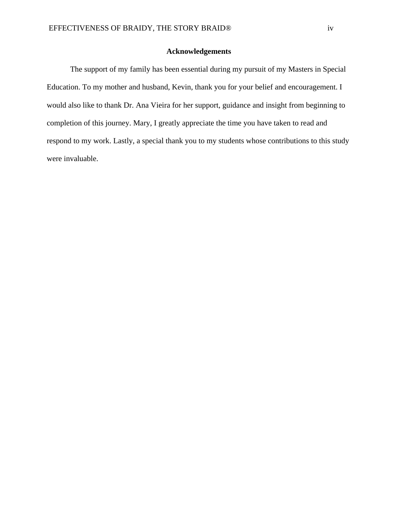#### **Acknowledgements**

The support of my family has been essential during my pursuit of my Masters in Special Education. To my mother and husband, Kevin, thank you for your belief and encouragement. I would also like to thank Dr. Ana Vieira for her support, guidance and insight from beginning to completion of this journey. Mary, I greatly appreciate the time you have taken to read and respond to my work. Lastly, a special thank you to my students whose contributions to this study were invaluable.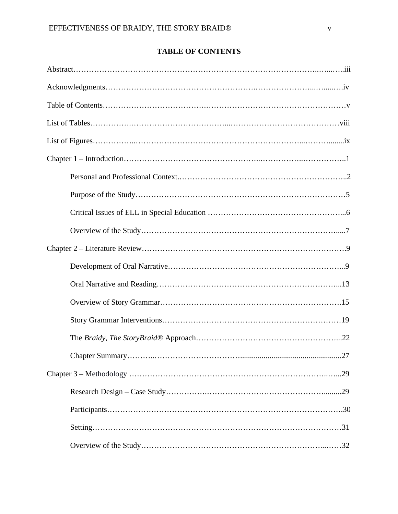# **TABLE OF CONTENTS**

| 27 |
|----|
|    |
|    |
|    |
|    |
|    |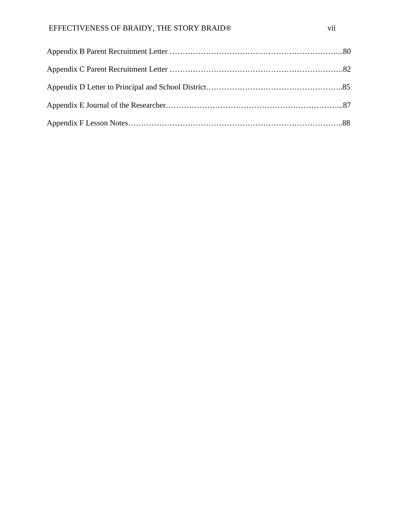# EFFECTIVENESS OF BRAIDY, THE STORY BRAID® vii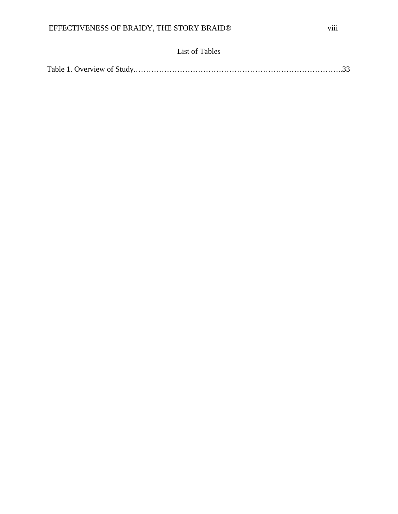# List of Tables

|--|--|--|--|--|--|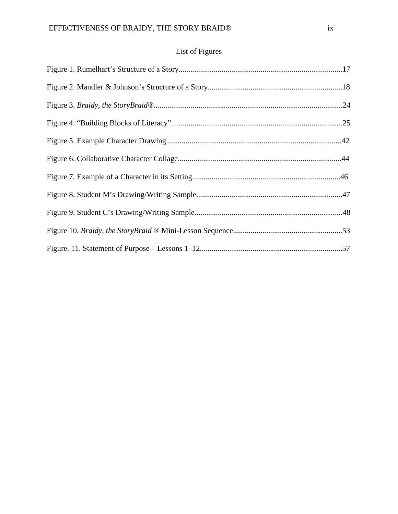# List of Figures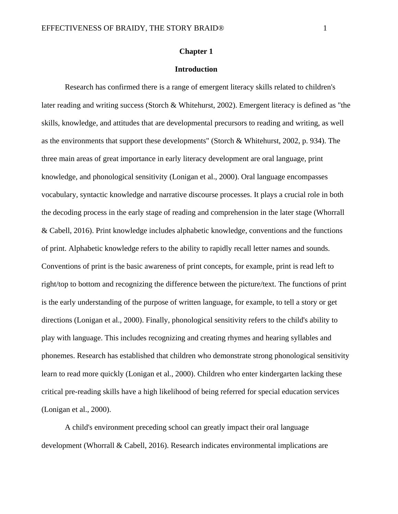#### **Chapter 1**

#### **Introduction**

Research has confirmed there is a range of emergent literacy skills related to children's later reading and writing success (Storch & Whitehurst, 2002). Emergent literacy is defined as "the skills, knowledge, and attitudes that are developmental precursors to reading and writing, as well as the environments that support these developments" (Storch & Whitehurst, 2002, p. 934). The three main areas of great importance in early literacy development are oral language, print knowledge, and phonological sensitivity (Lonigan et al., 2000). Oral language encompasses vocabulary, syntactic knowledge and narrative discourse processes. It plays a crucial role in both the decoding process in the early stage of reading and comprehension in the later stage (Whorrall & Cabell, 2016). Print knowledge includes alphabetic knowledge, conventions and the functions of print. Alphabetic knowledge refers to the ability to rapidly recall letter names and sounds. Conventions of print is the basic awareness of print concepts, for example, print is read left to right/top to bottom and recognizing the difference between the picture/text. The functions of print is the early understanding of the purpose of written language, for example, to tell a story or get directions (Lonigan et al., 2000). Finally, phonological sensitivity refers to the child's ability to play with language. This includes recognizing and creating rhymes and hearing syllables and phonemes. Research has established that children who demonstrate strong phonological sensitivity learn to read more quickly (Lonigan et al., 2000). Children who enter kindergarten lacking these critical pre-reading skills have a high likelihood of being referred for special education services (Lonigan et al., 2000).

A child's environment preceding school can greatly impact their oral language development (Whorrall & Cabell, 2016). Research indicates environmental implications are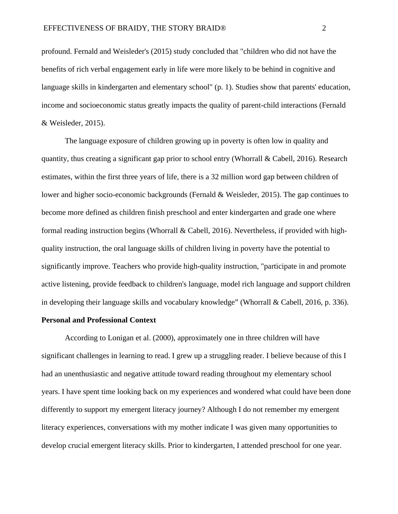profound. Fernald and Weisleder's (2015) study concluded that "children who did not have the benefits of rich verbal engagement early in life were more likely to be behind in cognitive and language skills in kindergarten and elementary school" (p. 1). Studies show that parents' education, income and socioeconomic status greatly impacts the quality of parent-child interactions (Fernald & Weisleder, 2015).

The language exposure of children growing up in poverty is often low in quality and quantity, thus creating a significant gap prior to school entry (Whorrall & Cabell, 2016). Research estimates, within the first three years of life, there is a 32 million word gap between children of lower and higher socio-economic backgrounds (Fernald & Weisleder, 2015). The gap continues to become more defined as children finish preschool and enter kindergarten and grade one where formal reading instruction begins (Whorrall & Cabell, 2016). Nevertheless, if provided with highquality instruction, the oral language skills of children living in poverty have the potential to significantly improve. Teachers who provide high-quality instruction, "participate in and promote active listening, provide feedback to children's language, model rich language and support children in developing their language skills and vocabulary knowledge" (Whorrall & Cabell, 2016, p. 336).

#### **Personal and Professional Context**

According to Lonigan et al. (2000), approximately one in three children will have significant challenges in learning to read. I grew up a struggling reader. I believe because of this I had an unenthusiastic and negative attitude toward reading throughout my elementary school years. I have spent time looking back on my experiences and wondered what could have been done differently to support my emergent literacy journey? Although I do not remember my emergent literacy experiences, conversations with my mother indicate I was given many opportunities to develop crucial emergent literacy skills. Prior to kindergarten, I attended preschool for one year.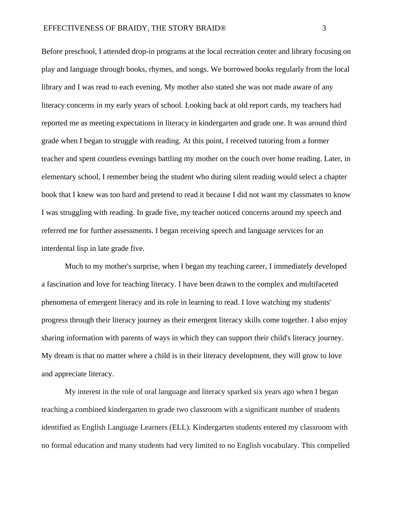Before preschool, I attended drop-in programs at the local recreation center and library focusing on play and language through books, rhymes, and songs. We borrowed books regularly from the local library and I was read to each evening. My mother also stated she was not made aware of any literacy concerns in my early years of school. Looking back at old report cards, my teachers had reported me as meeting expectations in literacy in kindergarten and grade one. It was around third grade when I began to struggle with reading. At this point, I received tutoring from a former teacher and spent countless evenings battling my mother on the couch over home reading. Later, in elementary school, I remember being the student who during silent reading would select a chapter book that I knew was too hard and pretend to read it because I did not want my classmates to know I was struggling with reading. In grade five, my teacher noticed concerns around my speech and referred me for further assessments. I began receiving speech and language services for an interdental lisp in late grade five.

Much to my mother's surprise, when I began my teaching career, I immediately developed a fascination and love for teaching literacy. I have been drawn to the complex and multifaceted phenomena of emergent literacy and its role in learning to read. I love watching my students' progress through their literacy journey as their emergent literacy skills come together. I also enjoy sharing information with parents of ways in which they can support their child's literacy journey. My dream is that no matter where a child is in their literacy development, they will grow to love and appreciate literacy.

My interest in the role of oral language and literacy sparked six years ago when I began teaching a combined kindergarten to grade two classroom with a significant number of students identified as English Language Learners (ELL). Kindergarten students entered my classroom with no formal education and many students had very limited to no English vocabulary. This compelled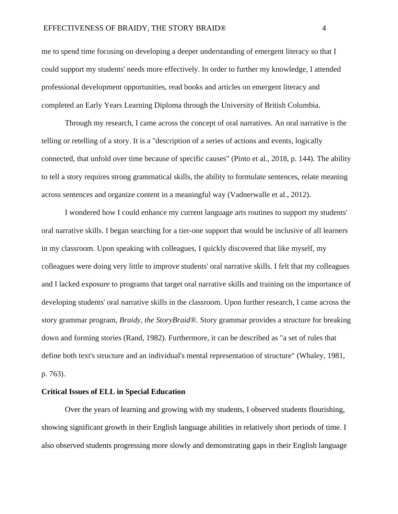me to spend time focusing on developing a deeper understanding of emergent literacy so that I could support my students' needs more effectively. In order to further my knowledge, I attended professional development opportunities, read books and articles on emergent literacy and completed an Early Years Learning Diploma through the University of British Columbia.

Through my research, I came across the concept of oral narratives. An oral narrative is the telling or retelling of a story. It is a "description of a series of actions and events, logically connected, that unfold over time because of specific causes" (Pinto et al., 2018, p. 144). The ability to tell a story requires strong grammatical skills, the ability to formulate sentences, relate meaning across sentences and organize content in a meaningful way (Vadnerwalle et al., 2012).

I wondered how I could enhance my current language arts routines to support my students' oral narrative skills. I began searching for a tier-one support that would be inclusive of all learners in my classroom. Upon speaking with colleagues, I quickly discovered that like myself, my colleagues were doing very little to improve students' oral narrative skills. I felt that my colleagues and I lacked exposure to programs that target oral narrative skills and training on the importance of developing students' oral narrative skills in the classroom. Upon further research, I came across the story grammar program, *Braidy, the StoryBraid®.* Story grammar provides a structure for breaking down and forming stories (Rand, 1982). Furthermore, it can be described as "a set of rules that define both text's structure and an individual's mental representation of structure" (Whaley, 1981, p. 763).

#### **Critical Issues of ELL in Special Education**

Over the years of learning and growing with my students, I observed students flourishing, showing significant growth in their English language abilities in relatively short periods of time. I also observed students progressing more slowly and demonstrating gaps in their English language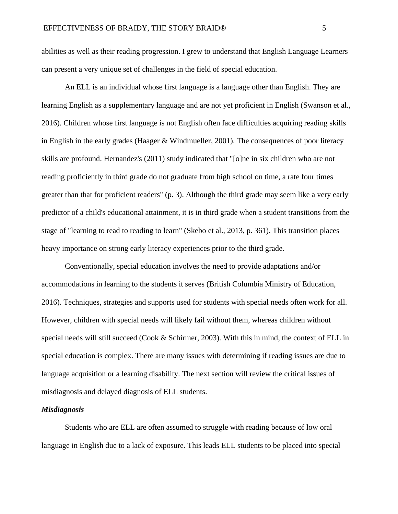abilities as well as their reading progression. I grew to understand that English Language Learners can present a very unique set of challenges in the field of special education.

An ELL is an individual whose first language is a language other than English. They are learning English as a supplementary language and are not yet proficient in English (Swanson et al., 2016). Children whose first language is not English often face difficulties acquiring reading skills in English in the early grades (Haager & Windmueller, 2001). The consequences of poor literacy skills are profound. Hernandez's (2011) study indicated that "[o]ne in six children who are not reading proficiently in third grade do not graduate from high school on time, a rate four times greater than that for proficient readers" (p. 3). Although the third grade may seem like a very early predictor of a child's educational attainment, it is in third grade when a student transitions from the stage of "learning to read to reading to learn" (Skebo et al., 2013, p. 361). This transition places heavy importance on strong early literacy experiences prior to the third grade.

Conventionally, special education involves the need to provide adaptations and/or accommodations in learning to the students it serves (British Columbia Ministry of Education, 2016). Techniques, strategies and supports used for students with special needs often work for all. However, children with special needs will likely fail without them, whereas children without special needs will still succeed (Cook & Schirmer, 2003). With this in mind, the context of ELL in special education is complex. There are many issues with determining if reading issues are due to language acquisition or a learning disability. The next section will review the critical issues of misdiagnosis and delayed diagnosis of ELL students.

#### *Misdiagnosis*

Students who are ELL are often assumed to struggle with reading because of low oral language in English due to a lack of exposure. This leads ELL students to be placed into special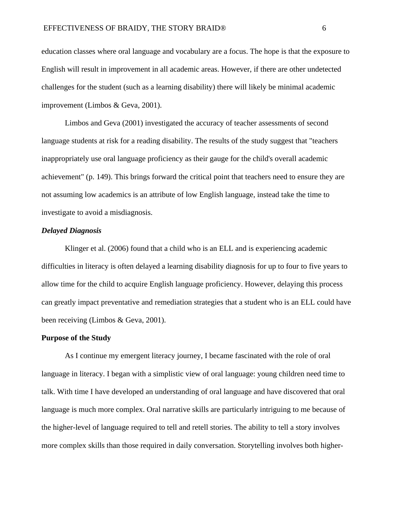education classes where oral language and vocabulary are a focus. The hope is that the exposure to English will result in improvement in all academic areas. However, if there are other undetected challenges for the student (such as a learning disability) there will likely be minimal academic improvement (Limbos & Geva, 2001).

Limbos and Geva (2001) investigated the accuracy of teacher assessments of second language students at risk for a reading disability. The results of the study suggest that "teachers inappropriately use oral language proficiency as their gauge for the child's overall academic achievement" (p. 149). This brings forward the critical point that teachers need to ensure they are not assuming low academics is an attribute of low English language, instead take the time to investigate to avoid a misdiagnosis.

#### *Delayed Diagnosis*

Klinger et al. (2006) found that a child who is an ELL and is experiencing academic difficulties in literacy is often delayed a learning disability diagnosis for up to four to five years to allow time for the child to acquire English language proficiency. However, delaying this process can greatly impact preventative and remediation strategies that a student who is an ELL could have been receiving (Limbos & Geva, 2001).

#### **Purpose of the Study**

As I continue my emergent literacy journey, I became fascinated with the role of oral language in literacy. I began with a simplistic view of oral language: young children need time to talk. With time I have developed an understanding of oral language and have discovered that oral language is much more complex. Oral narrative skills are particularly intriguing to me because of the higher-level of language required to tell and retell stories. The ability to tell a story involves more complex skills than those required in daily conversation. Storytelling involves both higher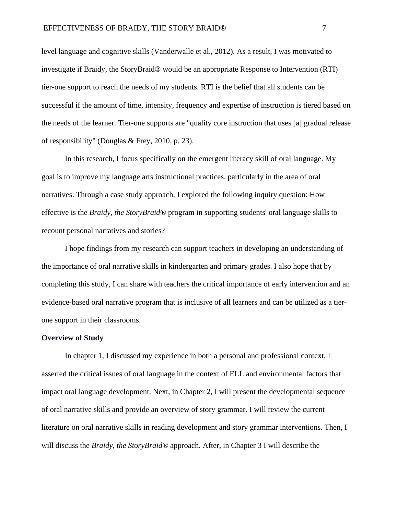level language and cognitive skills (Vanderwalle et al., 2012). As a result, I was motivated to investigate if Braidy, the StoryBraid® would be an appropriate Response to Intervention (RTI) tier-one support to reach the needs of my students. RTI is the belief that all students can be successful if the amount of time, intensity, frequency and expertise of instruction is tiered based on the needs of the learner. Tier-one supports are "quality core instruction that uses [a] gradual release of responsibility" (Douglas & Frey, 2010, p. 23).

In this research, I focus specifically on the emergent literacy skill of oral language. My goal is to improve my language arts instructional practices, particularly in the area of oral narratives. Through a case study approach, I explored the following inquiry question: How effective is the *Braidy, the StoryBraid®* program in supporting students' oral language skills to recount personal narratives and stories?

I hope findings from my research can support teachers in developing an understanding of the importance of oral narrative skills in kindergarten and primary grades. I also hope that by completing this study, I can share with teachers the critical importance of early intervention and an evidence-based oral narrative program that is inclusive of all learners and can be utilized as a tierone support in their classrooms.

#### **Overview of Study**

In chapter 1, I discussed my experience in both a personal and professional context. I asserted the critical issues of oral language in the context of ELL and environmental factors that impact oral language development. Next, in Chapter 2, I will present the developmental sequence of oral narrative skills and provide an overview of story grammar. I will review the current literature on oral narrative skills in reading development and story grammar interventions. Then, I will discuss the *Braidy, the StoryBraid®* approach. After, in Chapter 3 I will describe the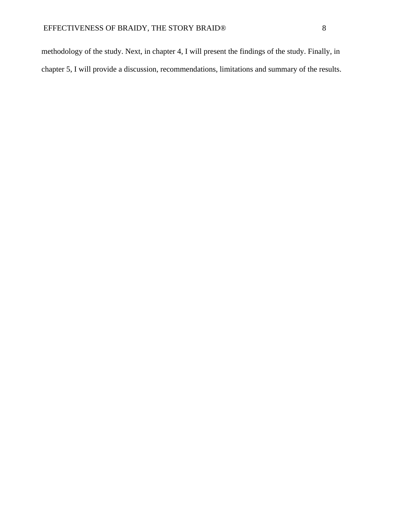methodology of the study. Next, in chapter 4, I will present the findings of the study. Finally, in chapter 5, I will provide a discussion, recommendations, limitations and summary of the results.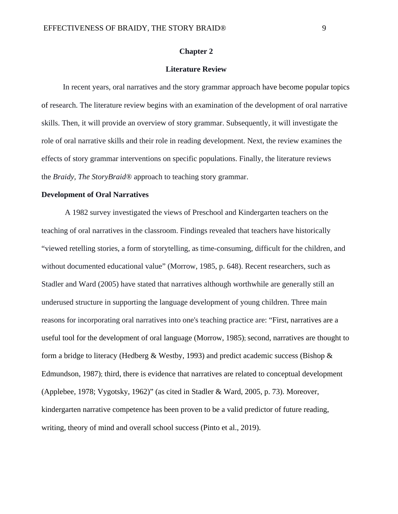#### **Chapter 2**

#### **Literature Review**

In recent years, oral narratives and the story grammar approach have become popular topics of research. The literature review begins with an examination of the development of oral narrative skills. Then, it will provide an overview of story grammar. Subsequently, it will investigate the role of oral narrative skills and their role in reading development. Next, the review examines the effects of story grammar interventions on specific populations. Finally, the literature reviews the *Braidy, The StoryBraid®* approach to teaching story grammar.

#### **Development of Oral Narratives**

A 1982 survey investigated the views of Preschool and Kindergarten teachers on the teaching of oral narratives in the classroom. Findings revealed that teachers have historically "viewed retelling stories, a form of storytelling, as time-consuming, difficult for the children, and without documented educational value" (Morrow, 1985, p. 648). Recent researchers, such as Stadler and Ward (2005) have stated that narratives although worthwhile are generally still an underused structure in supporting the language development of young children. Three main reasons for incorporating oral narratives into one's teaching practice are: "First, narratives are a useful tool for the development of oral language (Morrow, 1985); second, narratives are thought to form a bridge to literacy (Hedberg & Westby, 1993) and predict academic success (Bishop  $\&$ Edmundson, 1987); third, there is evidence that narratives are related to conceptual development (Applebee, 1978; Vygotsky, 1962)" (as cited in Stadler & Ward, 2005, p. 73). Moreover, kindergarten narrative competence has been proven to be a valid predictor of future reading, writing, theory of mind and overall school success (Pinto et al., 2019).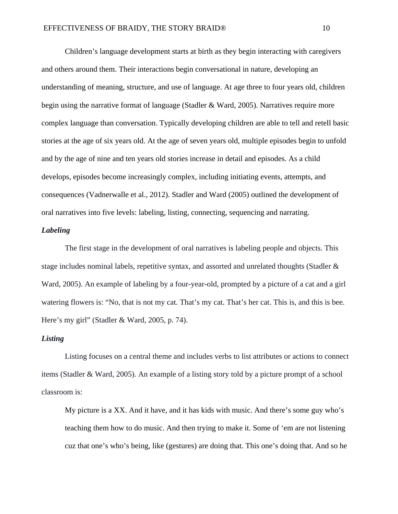Children's language development starts at birth as they begin interacting with caregivers and others around them. Their interactions begin conversational in nature, developing an understanding of meaning, structure, and use of language. At age three to four years old, children begin using the narrative format of language (Stadler & Ward, 2005). Narratives require more complex language than conversation. Typically developing children are able to tell and retell basic stories at the age of six years old. At the age of seven years old, multiple episodes begin to unfold and by the age of nine and ten years old stories increase in detail and episodes. As a child develops, episodes become increasingly complex, including initiating events, attempts, and consequences (Vadnerwalle et al., 2012). Stadler and Ward (2005) outlined the development of oral narratives into five levels: labeling, listing, connecting, sequencing and narrating.

#### *Labeling*

The first stage in the development of oral narratives is labeling people and objects. This stage includes nominal labels, repetitive syntax, and assorted and unrelated thoughts (Stadler & Ward, 2005). An example of labeling by a four-year-old, prompted by a picture of a cat and a girl watering flowers is: "No, that is not my cat. That's my cat. That's her cat. This is, and this is bee. Here's my girl" (Stadler & Ward, 2005, p. 74).

#### *Listing*

Listing focuses on a central theme and includes verbs to list attributes or actions to connect items (Stadler & Ward, 2005). An example of a listing story told by a picture prompt of a school classroom is:

My picture is a XX. And it have, and it has kids with music. And there's some guy who's teaching them how to do music. And then trying to make it. Some of 'em are not listening cuz that one's who's being, like (gestures) are doing that. This one's doing that. And so he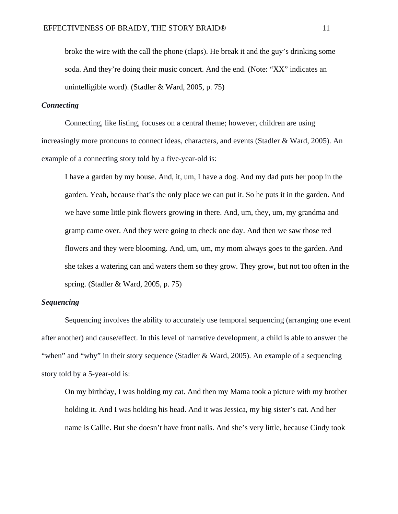broke the wire with the call the phone (claps). He break it and the guy's drinking some soda. And they're doing their music concert. And the end. (Note: "XX" indicates an unintelligible word). (Stadler & Ward, 2005, p. 75)

#### *Connecting*

Connecting, like listing, focuses on a central theme; however, children are using increasingly more pronouns to connect ideas, characters, and events (Stadler & Ward, 2005). An example of a connecting story told by a five-year-old is:

I have a garden by my house. And, it, um, I have a dog. And my dad puts her poop in the garden. Yeah, because that's the only place we can put it. So he puts it in the garden. And we have some little pink flowers growing in there. And, um, they, um, my grandma and gramp came over. And they were going to check one day. And then we saw those red flowers and they were blooming. And, um, um, my mom always goes to the garden. And she takes a watering can and waters them so they grow. They grow, but not too often in the spring. (Stadler & Ward, 2005, p. 75)

#### *Sequencing*

Sequencing involves the ability to accurately use temporal sequencing (arranging one event after another) and cause/effect. In this level of narrative development, a child is able to answer the "when" and "why" in their story sequence (Stadler & Ward, 2005). An example of a sequencing story told by a 5-year-old is:

On my birthday, I was holding my cat. And then my Mama took a picture with my brother holding it. And I was holding his head. And it was Jessica, my big sister's cat. And her name is Callie. But she doesn't have front nails. And she's very little, because Cindy took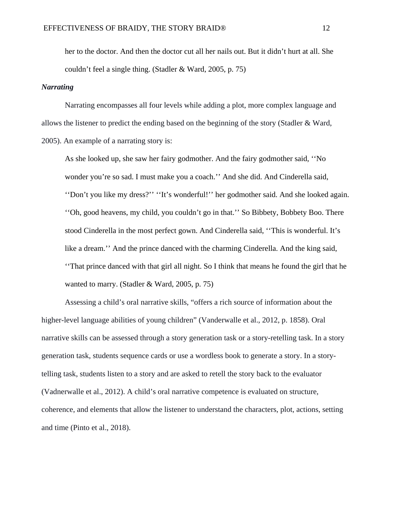her to the doctor. And then the doctor cut all her nails out. But it didn't hurt at all. She couldn't feel a single thing. (Stadler & Ward, 2005, p. 75)

#### *Narrating*

Narrating encompasses all four levels while adding a plot, more complex language and allows the listener to predict the ending based on the beginning of the story (Stadler & Ward, 2005). An example of a narrating story is:

As she looked up, she saw her fairy godmother. And the fairy godmother said, ''No wonder you're so sad. I must make you a coach.'' And she did. And Cinderella said, ''Don't you like my dress?'' ''It's wonderful!'' her godmother said. And she looked again. ''Oh, good heavens, my child, you couldn't go in that.'' So Bibbety, Bobbety Boo. There stood Cinderella in the most perfect gown. And Cinderella said, ''This is wonderful. It's like a dream.'' And the prince danced with the charming Cinderella. And the king said, ''That prince danced with that girl all night. So I think that means he found the girl that he wanted to marry. (Stadler & Ward, 2005, p. 75)

Assessing a child's oral narrative skills, "offers a rich source of information about the higher-level language abilities of young children" (Vanderwalle et al., 2012, p. 1858). Oral narrative skills can be assessed through a story generation task or a story-retelling task. In a story generation task, students sequence cards or use a wordless book to generate a story. In a storytelling task, students listen to a story and are asked to retell the story back to the evaluator (Vadnerwalle et al., 2012). A child's oral narrative competence is evaluated on structure, coherence, and elements that allow the listener to understand the characters, plot, actions, setting and time (Pinto et al., 2018).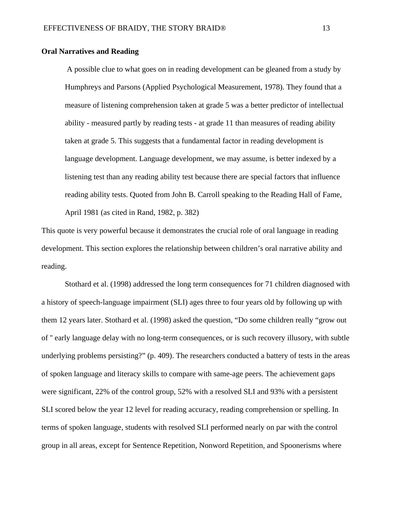#### **Oral Narratives and Reading**

A possible clue to what goes on in reading development can be gleaned from a study by Humphreys and Parsons (Applied Psychological Measurement, 1978). They found that a measure of listening comprehension taken at grade 5 was a better predictor of intellectual ability - measured partly by reading tests - at grade 11 than measures of reading ability taken at grade 5. This suggests that a fundamental factor in reading development is language development. Language development, we may assume, is better indexed by a listening test than any reading ability test because there are special factors that influence reading ability tests. Quoted from John B. Carroll speaking to the Reading Hall of Fame, April 1981 (as cited in Rand, 1982, p. 382)

This quote is very powerful because it demonstrates the crucial role of oral language in reading development. This section explores the relationship between children's oral narrative ability and reading.

Stothard et al. (1998) addressed the long term consequences for 71 children diagnosed with a history of speech-language impairment (SLI) ages three to four years old by following up with them 12 years later. Stothard et al. (1998) asked the question, "Do some children really "grow out of '' early language delay with no long-term consequences, or is such recovery illusory, with subtle underlying problems persisting?" (p. 409). The researchers conducted a battery of tests in the areas of spoken language and literacy skills to compare with same-age peers. The achievement gaps were significant, 22% of the control group, 52% with a resolved SLI and 93% with a persistent SLI scored below the year 12 level for reading accuracy, reading comprehension or spelling. In terms of spoken language, students with resolved SLI performed nearly on par with the control group in all areas, except for Sentence Repetition, Nonword Repetition, and Spoonerisms where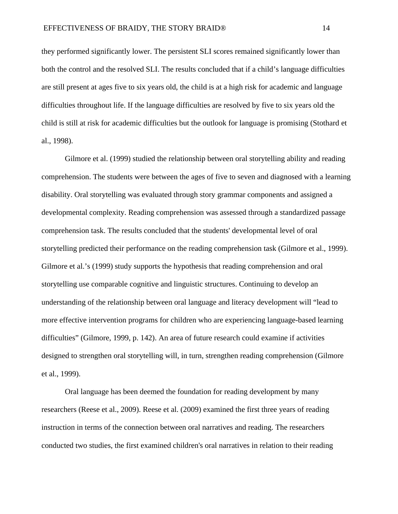they performed significantly lower. The persistent SLI scores remained significantly lower than both the control and the resolved SLI. The results concluded that if a child's language difficulties are still present at ages five to six years old, the child is at a high risk for academic and language difficulties throughout life. If the language difficulties are resolved by five to six years old the child is still at risk for academic difficulties but the outlook for language is promising (Stothard et al., 1998).

Gilmore et al. (1999) studied the relationship between oral storytelling ability and reading comprehension. The students were between the ages of five to seven and diagnosed with a learning disability. Oral storytelling was evaluated through story grammar components and assigned a developmental complexity. Reading comprehension was assessed through a standardized passage comprehension task. The results concluded that the students' developmental level of oral storytelling predicted their performance on the reading comprehension task (Gilmore et al., 1999). Gilmore et al.'s (1999) study supports the hypothesis that reading comprehension and oral storytelling use comparable cognitive and linguistic structures. Continuing to develop an understanding of the relationship between oral language and literacy development will "lead to more effective intervention programs for children who are experiencing language-based learning difficulties" (Gilmore, 1999, p. 142). An area of future research could examine if activities designed to strengthen oral storytelling will, in turn, strengthen reading comprehension (Gilmore et al., 1999).

Oral language has been deemed the foundation for reading development by many researchers (Reese et al., 2009). Reese et al. (2009) examined the first three years of reading instruction in terms of the connection between oral narratives and reading. The researchers conducted two studies, the first examined children's oral narratives in relation to their reading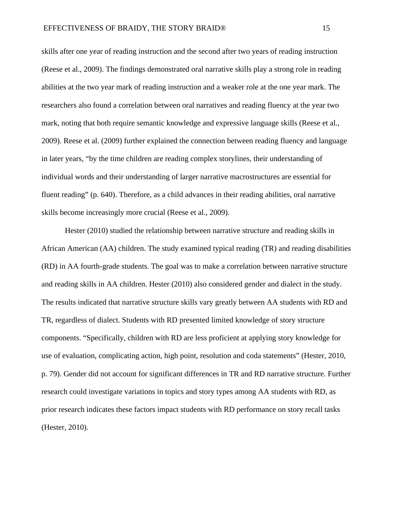skills after one year of reading instruction and the second after two years of reading instruction (Reese et al., 2009). The findings demonstrated oral narrative skills play a strong role in reading abilities at the two year mark of reading instruction and a weaker role at the one year mark. The researchers also found a correlation between oral narratives and reading fluency at the year two mark, noting that both require semantic knowledge and expressive language skills (Reese et al., 2009). Reese et al. (2009) further explained the connection between reading fluency and language in later years, "by the time children are reading complex storylines, their understanding of individual words and their understanding of larger narrative macrostructures are essential for fluent reading" (p. 640). Therefore, as a child advances in their reading abilities, oral narrative skills become increasingly more crucial (Reese et al., 2009).

Hester (2010) studied the relationship between narrative structure and reading skills in African American (AA) children. The study examined typical reading (TR) and reading disabilities (RD) in AA fourth-grade students. The goal was to make a correlation between narrative structure and reading skills in AA children. Hester (2010) also considered gender and dialect in the study. The results indicated that narrative structure skills vary greatly between AA students with RD and TR, regardless of dialect. Students with RD presented limited knowledge of story structure components. "Specifically, children with RD are less proficient at applying story knowledge for use of evaluation, complicating action, high point, resolution and coda statements" (Hester, 2010, p. 79). Gender did not account for significant differences in TR and RD narrative structure. Further research could investigate variations in topics and story types among AA students with RD, as prior research indicates these factors impact students with RD performance on story recall tasks (Hester, 2010).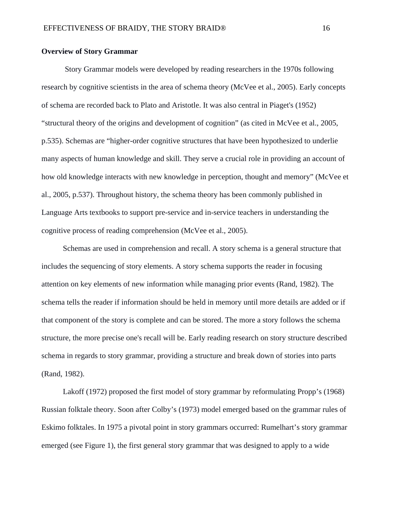#### **Overview of Story Grammar**

Story Grammar models were developed by reading researchers in the 1970s following research by cognitive scientists in the area of schema theory (McVee et al., 2005). Early concepts of schema are recorded back to Plato and Aristotle. It was also central in Piaget's (1952) "structural theory of the origins and development of cognition" (as cited in McVee et al., 2005, p.535). Schemas are "higher-order cognitive structures that have been hypothesized to underlie many aspects of human knowledge and skill. They serve a crucial role in providing an account of how old knowledge interacts with new knowledge in perception, thought and memory" (McVee et al., 2005, p.537). Throughout history, the schema theory has been commonly published in Language Arts textbooks to support pre-service and in-service teachers in understanding the cognitive process of reading comprehension (McVee et al., 2005).

Schemas are used in comprehension and recall. A story schema is a general structure that includes the sequencing of story elements. A story schema supports the reader in focusing attention on key elements of new information while managing prior events (Rand, 1982). The schema tells the reader if information should be held in memory until more details are added or if that component of the story is complete and can be stored. The more a story follows the schema structure, the more precise one's recall will be. Early reading research on story structure described schema in regards to story grammar, providing a structure and break down of stories into parts (Rand, 1982).

Lakoff (1972) proposed the first model of story grammar by reformulating Propp's (1968) Russian folktale theory. Soon after Colby's (1973) model emerged based on the grammar rules of Eskimo folktales. In 1975 a pivotal point in story grammars occurred: Rumelhart's story grammar emerged (see Figure 1), the first general story grammar that was designed to apply to a wide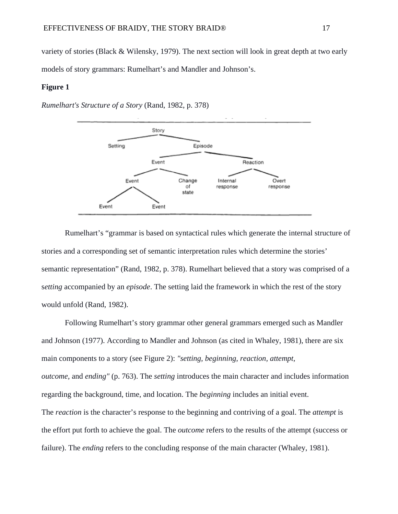variety of stories (Black & Wilensky, 1979). The next section will look in great depth at two early models of story grammars: Rumelhart's and Mandler and Johnson's.

#### **Figure 1**

*Rumelhart's Structure of a Story* (Rand, 1982, p. 378)



Rumelhart's "grammar is based on syntactical rules which generate the internal structure of stories and a corresponding set of semantic interpretation rules which determine the stories' semantic representation" (Rand, 1982, p. 378). Rumelhart believed that a story was comprised of a s*etting* accompanied by an *episode*. The setting laid the framework in which the rest of the story would unfold (Rand, 1982).

Following Rumelhart's story grammar other general grammars emerged such as Mandler and Johnson (1977). According to Mandler and Johnson (as cited in Whaley, 1981), there are six main components to a story (see Figure 2): *"setting, beginning, reaction, attempt, outcome,* and *ending"* (p. 763). The *setting* introduces the main character and includes information regarding the background, time, and location. The *beginning* includes an initial event. The *reaction* is the character's response to the beginning and contriving of a goal. The *attempt* is the effort put forth to achieve the goal. The *outcome* refers to the results of the attempt (success or failure). The *ending* refers to the concluding response of the main character (Whaley, 1981).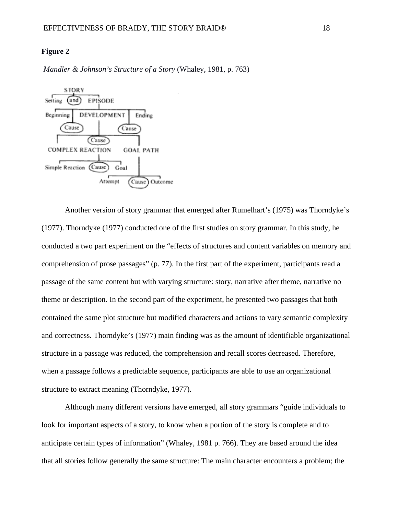#### **Figure 2**

*Mandler & Johnson's Structure of a Story* (Whaley, 1981, p. 763)



Another version of story grammar that emerged after Rumelhart's (1975) was Thorndyke's (1977). Thorndyke (1977) conducted one of the first studies on story grammar. In this study, he conducted a two part experiment on the "effects of structures and content variables on memory and comprehension of prose passages" (p. 77). In the first part of the experiment, participants read a passage of the same content but with varying structure: story, narrative after theme, narrative no theme or description. In the second part of the experiment, he presented two passages that both contained the same plot structure but modified characters and actions to vary semantic complexity and correctness. Thorndyke's (1977) main finding was as the amount of identifiable organizational structure in a passage was reduced, the comprehension and recall scores decreased. Therefore, when a passage follows a predictable sequence, participants are able to use an organizational structure to extract meaning (Thorndyke, 1977).

Although many different versions have emerged, all story grammars "guide individuals to look for important aspects of a story, to know when a portion of the story is complete and to anticipate certain types of information" (Whaley, 1981 p. 766). They are based around the idea that all stories follow generally the same structure: The main character encounters a problem; the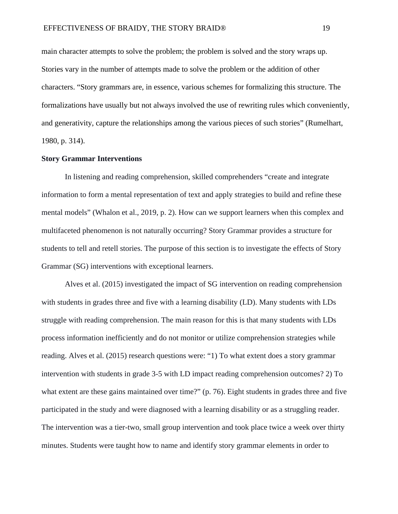main character attempts to solve the problem; the problem is solved and the story wraps up. Stories vary in the number of attempts made to solve the problem or the addition of other characters. "Story grammars are, in essence, various schemes for formalizing this structure. The formalizations have usually but not always involved the use of rewriting rules which conveniently, and generativity, capture the relationships among the various pieces of such stories" (Rumelhart, 1980, p. 314).

#### **Story Grammar Interventions**

In listening and reading comprehension, skilled comprehenders "create and integrate information to form a mental representation of text and apply strategies to build and refine these mental models" (Whalon et al., 2019, p. 2). How can we support learners when this complex and multifaceted phenomenon is not naturally occurring? Story Grammar provides a structure for students to tell and retell stories. The purpose of this section is to investigate the effects of Story Grammar (SG) interventions with exceptional learners.

Alves et al. (2015) investigated the impact of SG intervention on reading comprehension with students in grades three and five with a learning disability (LD). Many students with LDs struggle with reading comprehension. The main reason for this is that many students with LDs process information inefficiently and do not monitor or utilize comprehension strategies while reading. Alves et al. (2015) research questions were: "1) To what extent does a story grammar intervention with students in grade 3-5 with LD impact reading comprehension outcomes? 2) To what extent are these gains maintained over time?" (p. 76). Eight students in grades three and five participated in the study and were diagnosed with a learning disability or as a struggling reader. The intervention was a tier-two, small group intervention and took place twice a week over thirty minutes. Students were taught how to name and identify story grammar elements in order to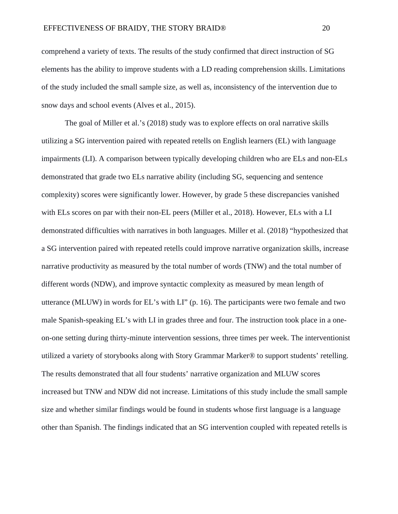comprehend a variety of texts. The results of the study confirmed that direct instruction of SG elements has the ability to improve students with a LD reading comprehension skills. Limitations of the study included the small sample size, as well as, inconsistency of the intervention due to snow days and school events (Alves et al., 2015).

The goal of Miller et al.'s (2018) study was to explore effects on oral narrative skills utilizing a SG intervention paired with repeated retells on English learners (EL) with language impairments (LI). A comparison between typically developing children who are ELs and non-ELs demonstrated that grade two ELs narrative ability (including SG, sequencing and sentence complexity) scores were significantly lower. However, by grade 5 these discrepancies vanished with ELs scores on par with their non-EL peers (Miller et al., 2018). However, ELs with a LI demonstrated difficulties with narratives in both languages. Miller et al. (2018) "hypothesized that a SG intervention paired with repeated retells could improve narrative organization skills, increase narrative productivity as measured by the total number of words (TNW) and the total number of different words (NDW), and improve syntactic complexity as measured by mean length of utterance (MLUW) in words for EL's with LI" (p. 16). The participants were two female and two male Spanish-speaking EL's with LI in grades three and four. The instruction took place in a oneon-one setting during thirty-minute intervention sessions, three times per week. The interventionist utilized a variety of storybooks along with Story Grammar Marker® to support students' retelling. The results demonstrated that all four students' narrative organization and MLUW scores increased but TNW and NDW did not increase. Limitations of this study include the small sample size and whether similar findings would be found in students whose first language is a language other than Spanish. The findings indicated that an SG intervention coupled with repeated retells is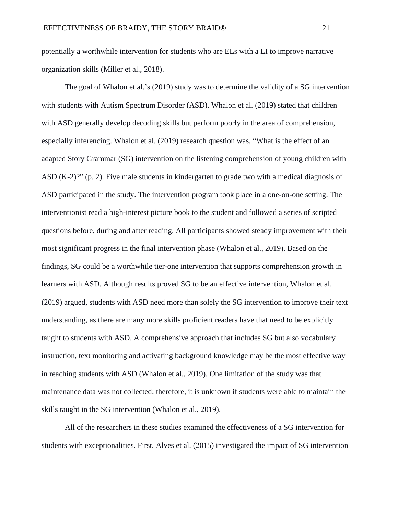potentially a worthwhile intervention for students who are ELs with a LI to improve narrative organization skills (Miller et al., 2018).

The goal of Whalon et al.'s (2019) study was to determine the validity of a SG intervention with students with Autism Spectrum Disorder (ASD). Whalon et al. (2019) stated that children with ASD generally develop decoding skills but perform poorly in the area of comprehension, especially inferencing. Whalon et al. (2019) research question was, "What is the effect of an adapted Story Grammar (SG) intervention on the listening comprehension of young children with ASD (K-2)?" (p. 2). Five male students in kindergarten to grade two with a medical diagnosis of ASD participated in the study. The intervention program took place in a one-on-one setting. The interventionist read a high-interest picture book to the student and followed a series of scripted questions before, during and after reading. All participants showed steady improvement with their most significant progress in the final intervention phase (Whalon et al., 2019). Based on the findings, SG could be a worthwhile tier-one intervention that supports comprehension growth in learners with ASD. Although results proved SG to be an effective intervention, Whalon et al. (2019) argued, students with ASD need more than solely the SG intervention to improve their text understanding, as there are many more skills proficient readers have that need to be explicitly taught to students with ASD. A comprehensive approach that includes SG but also vocabulary instruction, text monitoring and activating background knowledge may be the most effective way in reaching students with ASD (Whalon et al., 2019). One limitation of the study was that maintenance data was not collected; therefore, it is unknown if students were able to maintain the skills taught in the SG intervention (Whalon et al., 2019).

All of the researchers in these studies examined the effectiveness of a SG intervention for students with exceptionalities. First, Alves et al. (2015) investigated the impact of SG intervention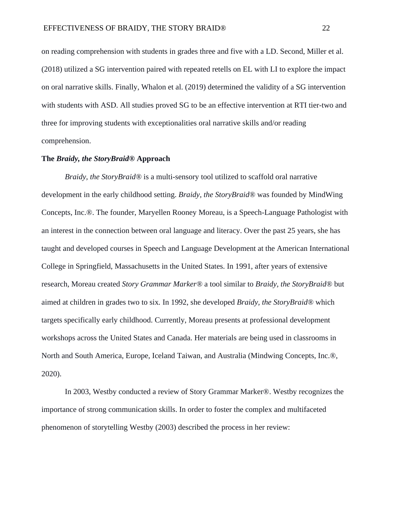on reading comprehension with students in grades three and five with a LD. Second, Miller et al. (2018) utilized a SG intervention paired with repeated retells on EL with LI to explore the impact on oral narrative skills. Finally, Whalon et al. (2019) determined the validity of a SG intervention with students with ASD. All studies proved SG to be an effective intervention at RTI tier-two and three for improving students with exceptionalities oral narrative skills and/or reading comprehension.

#### **The** *Braidy, the StoryBraid®* **Approach**

*Braidy, the StoryBraid®* is a multi-sensory tool utilized to scaffold oral narrative development in the early childhood setting. *Braidy, the StoryBraid®* was founded by MindWing Concepts, Inc.®. The founder, Maryellen Rooney Moreau, is a Speech-Language Pathologist with an interest in the connection between oral language and literacy. Over the past 25 years, she has taught and developed courses in Speech and Language Development at the American International College in Springfield, Massachusetts in the United States. In 1991, after years of extensive research, Moreau created *Story Grammar Marker®* a tool similar to *Braidy, the StoryBraid®* but aimed at children in grades two to six*.* In 1992, she developed *Braidy, the StoryBraid®* which targets specifically early childhood. Currently, Moreau presents at professional development workshops across the United States and Canada. Her materials are being used in classrooms in North and South America, Europe, Iceland Taiwan, and Australia (Mindwing Concepts, Inc.®, 2020).

In 2003, Westby conducted a review of Story Grammar Marker®. Westby recognizes the importance of strong communication skills. In order to foster the complex and multifaceted phenomenon of storytelling Westby (2003) described the process in her review: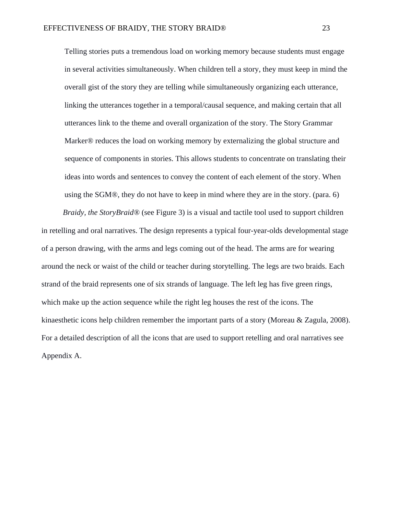Telling stories puts a tremendous load on working memory because students must engage in several activities simultaneously. When children tell a story, they must keep in mind the overall gist of the story they are telling while simultaneously organizing each utterance, linking the utterances together in a temporal/causal sequence, and making certain that all utterances link to the theme and overall organization of the story. The Story Grammar Marker® reduces the load on working memory by externalizing the global structure and sequence of components in stories. This allows students to concentrate on translating their ideas into words and sentences to convey the content of each element of the story. When using the SGM®, they do not have to keep in mind where they are in the story. (para. 6)

*Braidy, the StoryBraid®* (see Figure 3) is a visual and tactile tool used to support children in retelling and oral narratives. The design represents a typical four-year-olds developmental stage of a person drawing, with the arms and legs coming out of the head. The arms are for wearing around the neck or waist of the child or teacher during storytelling. The legs are two braids. Each strand of the braid represents one of six strands of language. The left leg has five green rings, which make up the action sequence while the right leg houses the rest of the icons. The kinaesthetic icons help children remember the important parts of a story (Moreau & Zagula, 2008). For a detailed description of all the icons that are used to support retelling and oral narratives see Appendix A.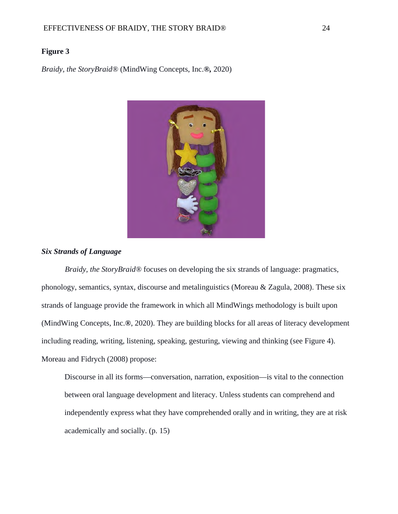#### **Figure 3**

*Braidy, the StoryBraid®* (MindWing Concepts, Inc.*®,* 2020)



### *Six Strands of Language*

*Braidy, the StoryBraid®* focuses on developing the six strands of language: pragmatics, phonology, semantics, syntax, discourse and metalinguistics (Moreau & Zagula, 2008). These six strands of language provide the framework in which all MindWings methodology is built upon (MindWing Concepts, Inc.*®*, 2020). They are building blocks for all areas of literacy development including reading, writing, listening, speaking, gesturing, viewing and thinking (see Figure 4). Moreau and Fidrych (2008) propose:

Discourse in all its forms—conversation, narration, exposition—is vital to the connection between oral language development and literacy. Unless students can comprehend and independently express what they have comprehended orally and in writing, they are at risk academically and socially. (p. 15)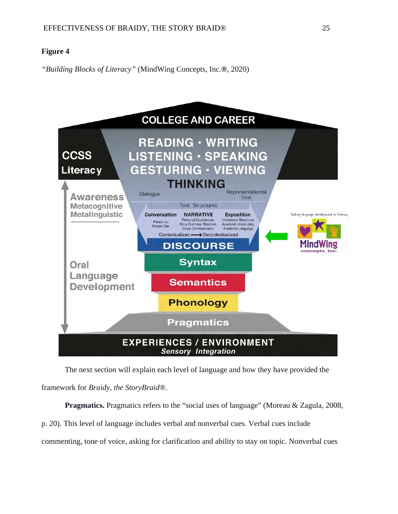## **Figure 4**

*"Building Blocks of Literacy"* (MindWing Concepts, Inc.*®*, 2020)



The next section will explain each level of language and how they have provided the framework for *Braidy, the StoryBraid®*.

**Pragmatics.** Pragmatics refers to the "social uses of language" (Moreau & Zagula, 2008, p. 20). This level of language includes verbal and nonverbal cues. Verbal cues include commenting, tone of voice, asking for clarification and ability to stay on topic. Nonverbal cues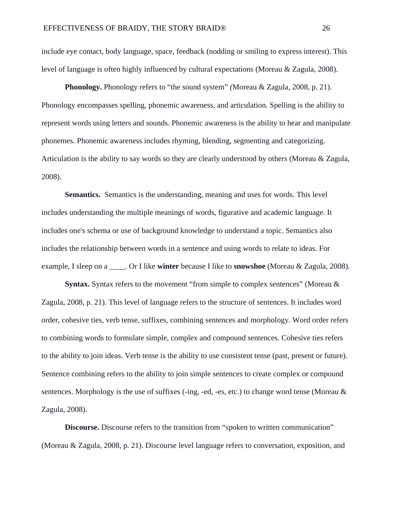include eye contact, body language, space, feedback (nodding or smiling to express interest). This level of language is often highly influenced by cultural expectations (Moreau & Zagula, 2008).

**Phonology.** Phonology refers to "the sound system" *(*Moreau & Zagula, 2008, p. 21). Phonology encompasses spelling, phonemic awareness, and articulation. Spelling is the ability to represent words using letters and sounds. Phonemic awareness is the ability to hear and manipulate phonemes. Phonemic awareness includes rhyming, blending, segmenting and categorizing. Articulation is the ability to say words so they are clearly understood by others (Moreau & Zagula, 2008).

**Semantics.** Semantics is the understanding, meaning and uses for words. This level includes understanding the multiple meanings of words, figurative and academic language. It includes one's schema or use of background knowledge to understand a topic. Semantics also includes the relationship between words in a sentence and using words to relate to ideas. For example, I sleep on a \_\_\_\_. Or I like **winter** because I like to **snowshoe** (Moreau & Zagula, 2008).

**Syntax.** Syntax refers to the movement "from simple to complex sentences" (Moreau & Zagula, 2008, p. 21). This level of language refers to the structure of sentences. It includes word order, cohesive ties, verb tense, suffixes, combining sentences and morphology. Word order refers to combining words to formulate simple, complex and compound sentences. Cohesive ties refers to the ability to join ideas. Verb tense is the ability to use consistent tense (past, present or future). Sentence combining refers to the ability to join simple sentences to create complex or compound sentences. Morphology is the use of suffixes (-ing, -ed, -es, etc.) to change word tense (Moreau  $\&$ Zagula, 2008).

**Discourse.** Discourse refers to the transition from "spoken to written communication" (Moreau & Zagula, 2008, p. 21). Discourse level language refers to conversation, exposition, and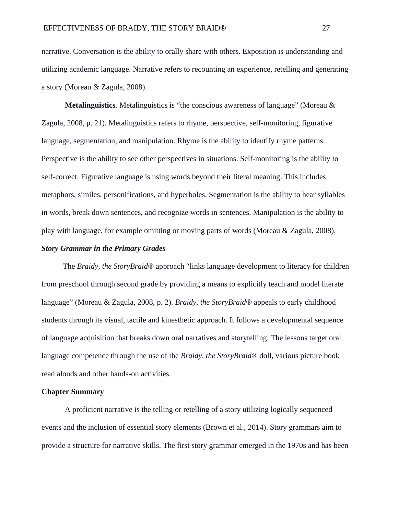narrative. Conversation is the ability to orally share with others. Exposition is understanding and utilizing academic language. Narrative refers to recounting an experience, retelling and generating a story (Moreau & Zagula, 2008).

**Metalinguistics**. Metalinguistics is "the conscious awareness of language" (Moreau & Zagula, 2008, p. 21). Metalinguistics refers to rhyme, perspective, self-monitoring, figurative language, segmentation, and manipulation. Rhyme is the ability to identify rhyme patterns. Perspective is the ability to see other perspectives in situations. Self-monitoring is the ability to self-correct. Figurative language is using words beyond their literal meaning. This includes metaphors, similes, personifications, and hyperboles. Segmentation is the ability to hear syllables in words, break down sentences, and recognize words in sentences. Manipulation is the ability to play with language, for example omitting or moving parts of words (Moreau & Zagula, 2008).

#### *Story Grammar in the Primary Grades*

The *Braidy, the StoryBraid®* approach "links language development to literacy for children from preschool through second grade by providing a means to explicitly teach and model literate language" (Moreau & Zagula, 2008, p. 2). *Braidy, the StoryBraid®* appeals to early childhood students through its visual, tactile and kinesthetic approach. It follows a developmental sequence of language acquisition that breaks down oral narratives and storytelling. The lessons target oral language competence through the use of the *Braidy, the StoryBraid®* doll, various picture book read alouds and other hands-on activities.

#### **Chapter Summary**

A proficient narrative is the telling or retelling of a story utilizing logically sequenced events and the inclusion of essential story elements (Brown et al., 2014). Story grammars aim to provide a structure for narrative skills. The first story grammar emerged in the 1970s and has been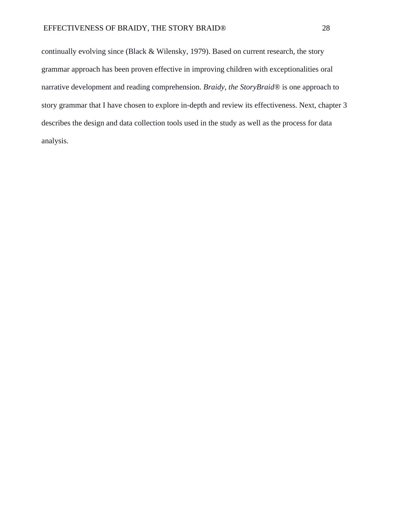continually evolving since (Black & Wilensky, 1979). Based on current research, the story grammar approach has been proven effective in improving children with exceptionalities oral narrative development and reading comprehension. *Braidy, the StoryBraid®* is one approach to story grammar that I have chosen to explore in-depth and review its effectiveness. Next, chapter 3 describes the design and data collection tools used in the study as well as the process for data analysis.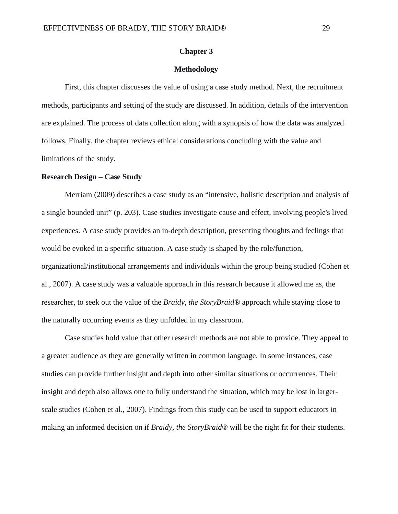### **Chapter 3**

### **Methodology**

First, this chapter discusses the value of using a case study method. Next, the recruitment methods, participants and setting of the study are discussed. In addition, details of the intervention are explained. The process of data collection along with a synopsis of how the data was analyzed follows. Finally, the chapter reviews ethical considerations concluding with the value and limitations of the study.

#### **Research Design – Case Study**

Merriam (2009) describes a case study as an "intensive, holistic description and analysis of a single bounded unit" (p. 203). Case studies investigate cause and effect, involving people's lived experiences. A case study provides an in-depth description, presenting thoughts and feelings that would be evoked in a specific situation. A case study is shaped by the role/function, organizational/institutional arrangements and individuals within the group being studied (Cohen et al., 2007). A case study was a valuable approach in this research because it allowed me as, the researcher, to seek out the value of the *Braidy, the StoryBraid®* approach while staying close to the naturally occurring events as they unfolded in my classroom.

Case studies hold value that other research methods are not able to provide. They appeal to a greater audience as they are generally written in common language. In some instances, case studies can provide further insight and depth into other similar situations or occurrences. Their insight and depth also allows one to fully understand the situation, which may be lost in largerscale studies (Cohen et al., 2007). Findings from this study can be used to support educators in making an informed decision on if *Braidy, the StoryBraid®* will be the right fit for their students.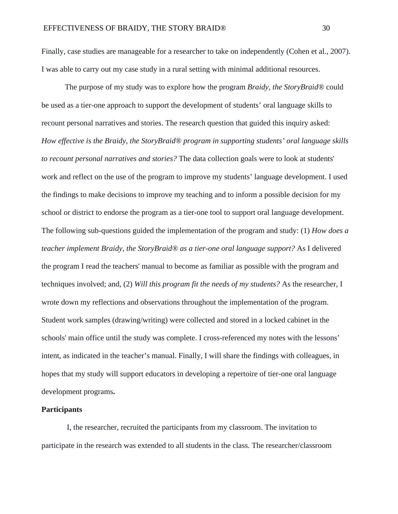Finally, case studies are manageable for a researcher to take on independently (Cohen et al., 2007). I was able to carry out my case study in a rural setting with minimal additional resources.

The purpose of my study was to explore how the program *Braidy, the StoryBraid®* could be used as a tier-one approach to support the development of students' oral language skills to recount personal narratives and stories. The research question that guided this inquiry asked: *How effective is the Braidy, the StoryBraid® program in supporting students' oral language skills to recount personal narratives and stories?* The data collection goals were to look at students' work and reflect on the use of the program to improve my students' language development. I used the findings to make decisions to improve my teaching and to inform a possible decision for my school or district to endorse the program as a tier-one tool to support oral language development. The following sub-questions guided the implementation of the program and study: (1) *How does a teacher implement Braidy, the StoryBraid® as a tier-one oral language support?* As I delivered the program I read the teachers' manual to become as familiar as possible with the program and techniques involved; and, (2) *Will this program fit the needs of my students?* As the researcher, I wrote down my reflections and observations throughout the implementation of the program. Student work samples (drawing/writing) were collected and stored in a locked cabinet in the schools' main office until the study was complete. I cross-referenced my notes with the lessons' intent, as indicated in the teacher's manual. Finally, I will share the findings with colleagues, in hopes that my study will support educators in developing a repertoire of tier-one oral language development programs**.**

### **Participants**

I, the researcher, recruited the participants from my classroom. The invitation to participate in the research was extended to all students in the class. The researcher/classroom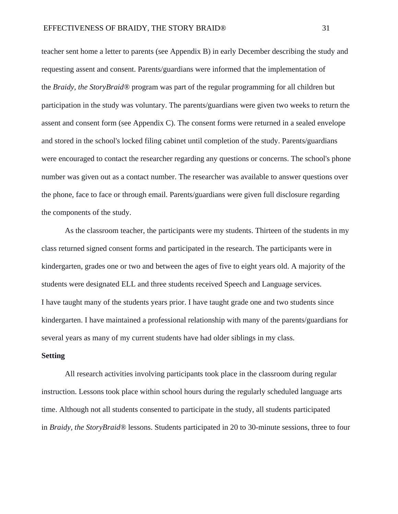teacher sent home a letter to parents (see Appendix B) in early December describing the study and requesting assent and consent. Parents/guardians were informed that the implementation of the *Braidy, the StoryBraid®* program was part of the regular programming for all children but participation in the study was voluntary. The parents/guardians were given two weeks to return the assent and consent form (see Appendix C). The consent forms were returned in a sealed envelope and stored in the school's locked filing cabinet until completion of the study. Parents/guardians were encouraged to contact the researcher regarding any questions or concerns. The school's phone number was given out as a contact number. The researcher was available to answer questions over the phone, face to face or through email. Parents/guardians were given full disclosure regarding the components of the study.

As the classroom teacher, the participants were my students. Thirteen of the students in my class returned signed consent forms and participated in the research. The participants were in kindergarten, grades one or two and between the ages of five to eight years old. A majority of the students were designated ELL and three students received Speech and Language services. I have taught many of the students years prior. I have taught grade one and two students since kindergarten. I have maintained a professional relationship with many of the parents/guardians for several years as many of my current students have had older siblings in my class.

#### **Setting**

All research activities involving participants took place in the classroom during regular instruction. Lessons took place within school hours during the regularly scheduled language arts time. Although not all students consented to participate in the study, all students participated in *Braidy, the StoryBraid®* lessons. Students participated in 20 to 30-minute sessions, three to four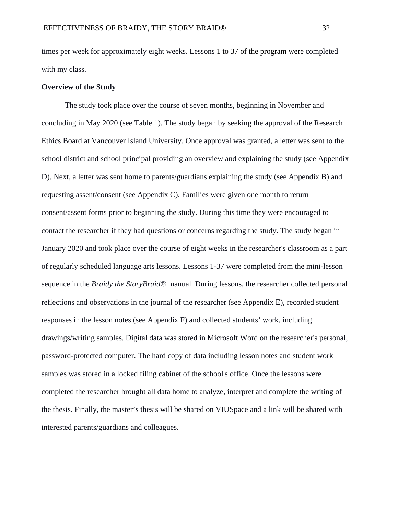times per week for approximately eight weeks. Lessons 1 to 37 of the program were completed with my class.

### **Overview of the Study**

The study took place over the course of seven months, beginning in November and concluding in May 2020 (see Table 1). The study began by seeking the approval of the Research Ethics Board at Vancouver Island University. Once approval was granted, a letter was sent to the school district and school principal providing an overview and explaining the study (see Appendix D). Next, a letter was sent home to parents/guardians explaining the study (see Appendix B) and requesting assent/consent (see Appendix C). Families were given one month to return consent/assent forms prior to beginning the study. During this time they were encouraged to contact the researcher if they had questions or concerns regarding the study. The study began in January 2020 and took place over the course of eight weeks in the researcher's classroom as a part of regularly scheduled language arts lessons. Lessons 1-37 were completed from the mini-lesson sequence in the *Braidy the StoryBraid®* manual. During lessons, the researcher collected personal reflections and observations in the journal of the researcher (see Appendix E), recorded student responses in the lesson notes (see Appendix F) and collected students' work, including drawings/writing samples. Digital data was stored in Microsoft Word on the researcher's personal, password-protected computer. The hard copy of data including lesson notes and student work samples was stored in a locked filing cabinet of the school's office. Once the lessons were completed the researcher brought all data home to analyze, interpret and complete the writing of the thesis. Finally, the master's thesis will be shared on VIUSpace and a link will be shared with interested parents/guardians and colleagues.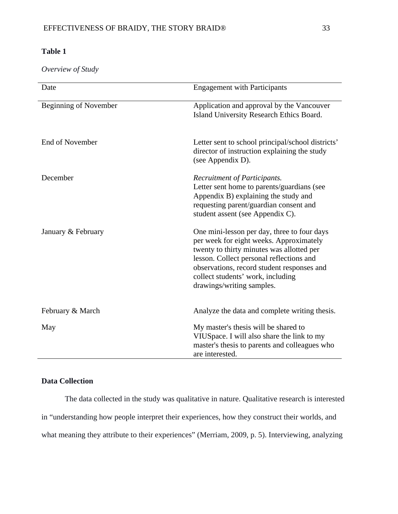# **Table 1**

*Overview of Study*

| Date                         | <b>Engagement with Participants</b>                                                                                                                                                                                                                                                             |
|------------------------------|-------------------------------------------------------------------------------------------------------------------------------------------------------------------------------------------------------------------------------------------------------------------------------------------------|
| <b>Beginning of November</b> | Application and approval by the Vancouver<br>Island University Research Ethics Board.                                                                                                                                                                                                           |
| End of November              | Letter sent to school principal/school districts'<br>director of instruction explaining the study<br>(see Appendix D).                                                                                                                                                                          |
| December                     | Recruitment of Participants.<br>Letter sent home to parents/guardians (see<br>Appendix B) explaining the study and<br>requesting parent/guardian consent and<br>student assent (see Appendix C).                                                                                                |
| January & February           | One mini-lesson per day, three to four days<br>per week for eight weeks. Approximately<br>twenty to thirty minutes was allotted per<br>lesson. Collect personal reflections and<br>observations, record student responses and<br>collect students' work, including<br>drawings/writing samples. |
| February & March             | Analyze the data and complete writing thesis.                                                                                                                                                                                                                                                   |
| May                          | My master's thesis will be shared to<br>VIUSpace. I will also share the link to my<br>master's thesis to parents and colleagues who<br>are interested.                                                                                                                                          |

## **Data Collection**

The data collected in the study was qualitative in nature. Qualitative research is interested in "understanding how people interpret their experiences, how they construct their worlds, and what meaning they attribute to their experiences" (Merriam, 2009, p. 5). Interviewing, analyzing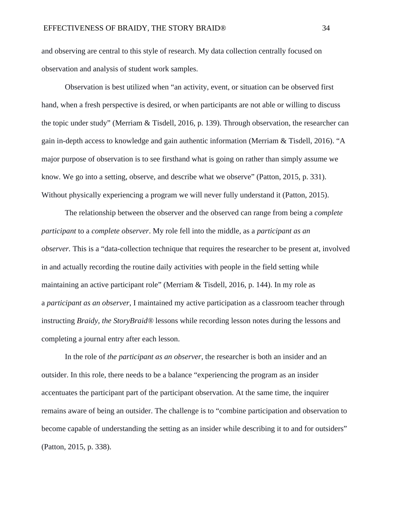and observing are central to this style of research. My data collection centrally focused on observation and analysis of student work samples.

Observation is best utilized when "an activity, event, or situation can be observed first hand, when a fresh perspective is desired, or when participants are not able or willing to discuss the topic under study" (Merriam & Tisdell, 2016, p. 139). Through observation, the researcher can gain in-depth access to knowledge and gain authentic information (Merriam & Tisdell, 2016). "A major purpose of observation is to see firsthand what is going on rather than simply assume we know. We go into a setting, observe, and describe what we observe" (Patton, 2015, p. 331). Without physically experiencing a program we will never fully understand it (Patton, 2015).

The relationship between the observer and the observed can range from being a *complete participant* to a *complete observer*. My role fell into the middle, as a *participant as an observer.* This is a "data-collection technique that requires the researcher to be present at, involved in and actually recording the routine daily activities with people in the field setting while maintaining an active participant role" (Merriam & Tisdell, 2016, p. 144). In my role as a *participant as an observer,* I maintained my active participation as a classroom teacher through instructing *Braidy, the StoryBraid®* lessons while recording lesson notes during the lessons and completing a journal entry after each lesson.

In the role of *the participant as an observer*, the researcher is both an insider and an outsider. In this role, there needs to be a balance "experiencing the program as an insider accentuates the participant part of the participant observation. At the same time, the inquirer remains aware of being an outsider. The challenge is to "combine participation and observation to become capable of understanding the setting as an insider while describing it to and for outsiders" (Patton, 2015, p. 338).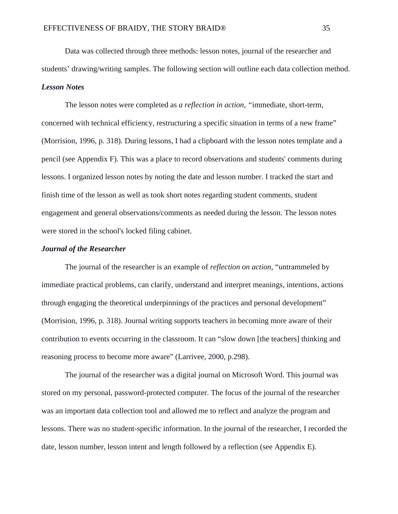Data was collected through three methods: lesson notes, journal of the researcher and students' drawing/writing samples. The following section will outline each data collection method. *Lesson Notes*

The lesson notes were completed as *a reflection in action, "*immediate, short-term, concerned with technical efficiency, restructuring a specific situation in terms of a new frame" (Morrision, 1996, p. 318). During lessons, I had a clipboard with the lesson notes template and a pencil (see Appendix F). This was a place to record observations and students' comments during lessons. I organized lesson notes by noting the date and lesson number. I tracked the start and finish time of the lesson as well as took short notes regarding student comments, student engagement and general observations/comments as needed during the lesson. The lesson notes were stored in the school's locked filing cabinet.

#### *Journal of the Researcher*

The journal of the researcher is an example of *reflection on action*, "untrammeled by immediate practical problems, can clarify, understand and interpret meanings, intentions, actions through engaging the theoretical underpinnings of the practices and personal development" (Morrision, 1996, p. 318). Journal writing supports teachers in becoming more aware of their contribution to events occurring in the classroom. It can "slow down [the teachers] thinking and reasoning process to become more aware" (Larrivee, 2000, p.298).

The journal of the researcher was a digital journal on Microsoft Word. This journal was stored on my personal, password-protected computer. The focus of the journal of the researcher was an important data collection tool and allowed me to reflect and analyze the program and lessons. There was no student-specific information. In the journal of the researcher, I recorded the date, lesson number, lesson intent and length followed by a reflection (see Appendix E).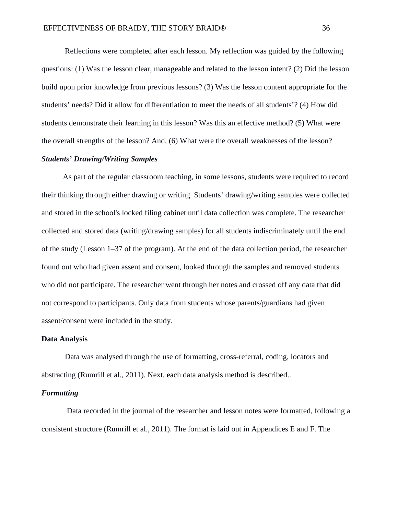Reflections were completed after each lesson. My reflection was guided by the following questions: (1) Was the lesson clear, manageable and related to the lesson intent? (2) Did the lesson build upon prior knowledge from previous lessons? (3) Was the lesson content appropriate for the students' needs? Did it allow for differentiation to meet the needs of all students'? (4) How did students demonstrate their learning in this lesson? Was this an effective method? (5) What were the overall strengths of the lesson? And, (6) What were the overall weaknesses of the lesson?

### *Students' Drawing/Writing Samples*

As part of the regular classroom teaching, in some lessons, students were required to record their thinking through either drawing or writing. Students' drawing/writing samples were collected and stored in the school's locked filing cabinet until data collection was complete. The researcher collected and stored data (writing/drawing samples) for all students indiscriminately until the end of the study (Lesson 1–37 of the program). At the end of the data collection period, the researcher found out who had given assent and consent, looked through the samples and removed students who did not participate. The researcher went through her notes and crossed off any data that did not correspond to participants. Only data from students whose parents/guardians had given assent/consent were included in the study.

### **Data Analysis**

Data was analysed through the use of formatting, cross-referral, coding, locators and abstracting (Rumrill et al., 2011). Next, each data analysis method is described..

### *Formatting*

Data recorded in the journal of the researcher and lesson notes were formatted, following a consistent structure (Rumrill et al., 2011). The format is laid out in Appendices E and F. The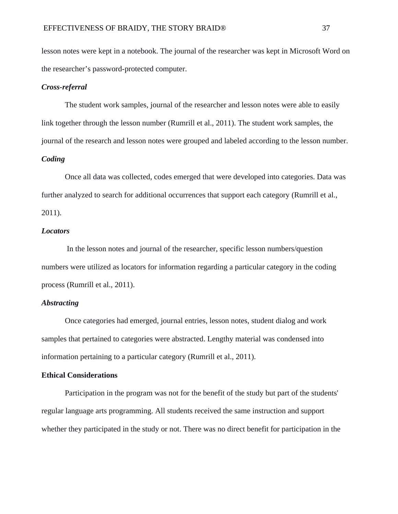lesson notes were kept in a notebook. The journal of the researcher was kept in Microsoft Word on the researcher's password-protected computer.

### *Cross-referral*

The student work samples, journal of the researcher and lesson notes were able to easily link together through the lesson number (Rumrill et al., 2011). The student work samples, the journal of the research and lesson notes were grouped and labeled according to the lesson number.

## *Coding*

Once all data was collected, codes emerged that were developed into categories. Data was further analyzed to search for additional occurrences that support each category (Rumrill et al.,

2011).

### *Locators*

In the lesson notes and journal of the researcher, specific lesson numbers/question numbers were utilized as locators for information regarding a particular category in the coding process (Rumrill et al., 2011).

### *Abstracting*

Once categories had emerged, journal entries, lesson notes, student dialog and work samples that pertained to categories were abstracted. Lengthy material was condensed into information pertaining to a particular category (Rumrill et al., 2011).

## **Ethical Considerations**

Participation in the program was not for the benefit of the study but part of the students' regular language arts programming. All students received the same instruction and support whether they participated in the study or not. There was no direct benefit for participation in the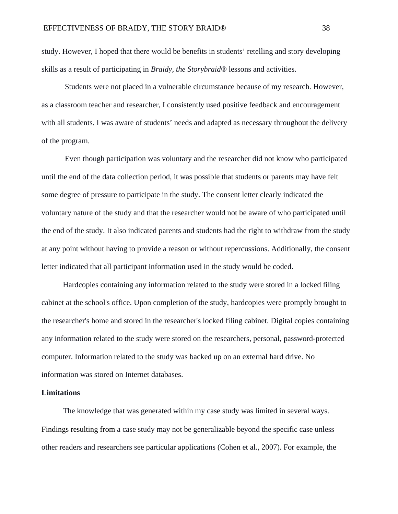study. However, I hoped that there would be benefits in students' retelling and story developing skills as a result of participating in *Braidy, the Storybraid®* lessons and activities.

Students were not placed in a vulnerable circumstance because of my research. However, as a classroom teacher and researcher, I consistently used positive feedback and encouragement with all students. I was aware of students' needs and adapted as necessary throughout the delivery of the program.

Even though participation was voluntary and the researcher did not know who participated until the end of the data collection period, it was possible that students or parents may have felt some degree of pressure to participate in the study. The consent letter clearly indicated the voluntary nature of the study and that the researcher would not be aware of who participated until the end of the study. It also indicated parents and students had the right to withdraw from the study at any point without having to provide a reason or without repercussions. Additionally, the consent letter indicated that all participant information used in the study would be coded.

Hardcopies containing any information related to the study were stored in a locked filing cabinet at the school's office. Upon completion of the study, hardcopies were promptly brought to the researcher's home and stored in the researcher's locked filing cabinet. Digital copies containing any information related to the study were stored on the researchers, personal, password-protected computer. Information related to the study was backed up on an external hard drive. No information was stored on Internet databases.

### **Limitations**

The knowledge that was generated within my case study was limited in several ways. Findings resulting from a case study may not be generalizable beyond the specific case unless other readers and researchers see particular applications (Cohen et al., 2007). For example, the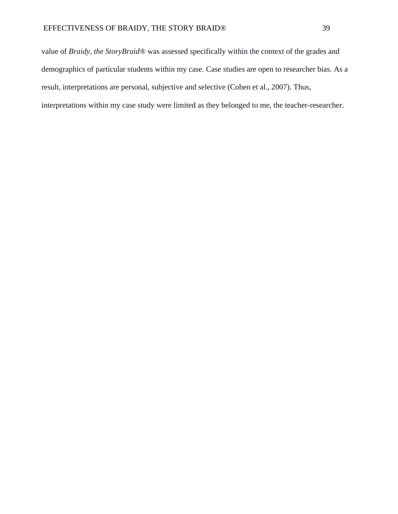value of *Braidy, the StoryBraid®* was assessed specifically within the context of the grades and demographics of particular students within my case. Case studies are open to researcher bias. As a result, interpretations are personal, subjective and selective (Cohen et al., 2007). Thus, interpretations within my case study were limited as they belonged to me, the teacher-researcher.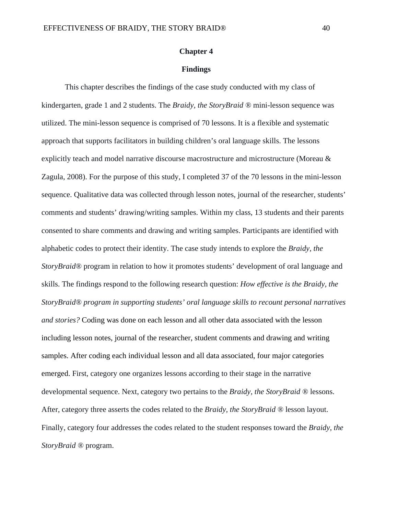### **Chapter 4**

### **Findings**

This chapter describes the findings of the case study conducted with my class of kindergarten, grade 1 and 2 students. The *Braidy, the StoryBraid ®* mini-lesson sequence was utilized. The mini-lesson sequence is comprised of 70 lessons. It is a flexible and systematic approach that supports facilitators in building children's oral language skills. The lessons explicitly teach and model narrative discourse macrostructure and microstructure (Moreau & Zagula, 2008). For the purpose of this study, I completed 37 of the 70 lessons in the mini-lesson sequence. Qualitative data was collected through lesson notes, journal of the researcher, students' comments and students' drawing/writing samples. Within my class, 13 students and their parents consented to share comments and drawing and writing samples. Participants are identified with alphabetic codes to protect their identity. The case study intends to explore the *Braidy, the StoryBraid®* program in relation to how it promotes students' development of oral language and skills. The findings respond to the following research question: *How effective is the Braidy, the StoryBraid® program in supporting students' oral language skills to recount personal narratives and stories?* Coding was done on each lesson and all other data associated with the lesson including lesson notes, journal of the researcher, student comments and drawing and writing samples. After coding each individual lesson and all data associated, four major categories emerged. First, category one organizes lessons according to their stage in the narrative developmental sequence. Next, category two pertains to the *Braidy, the StoryBraid ®* lessons. After, category three asserts the codes related to the *Braidy, the StoryBraid ®* lesson layout. Finally, category four addresses the codes related to the student responses toward the *Braidy, the StoryBraid ®* program.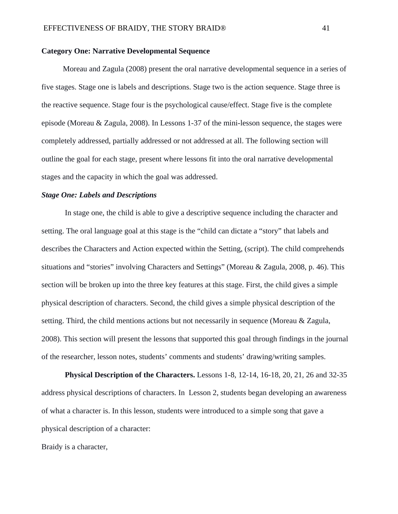#### **Category One: Narrative Developmental Sequence**

Moreau and Zagula (2008) present the oral narrative developmental sequence in a series of five stages. Stage one is labels and descriptions. Stage two is the action sequence. Stage three is the reactive sequence. Stage four is the psychological cause/effect. Stage five is the complete episode (Moreau & Zagula, 2008). In Lessons 1-37 of the mini-lesson sequence, the stages were completely addressed, partially addressed or not addressed at all. The following section will outline the goal for each stage, present where lessons fit into the oral narrative developmental stages and the capacity in which the goal was addressed.

### *Stage One: Labels and Descriptions*

In stage one, the child is able to give a descriptive sequence including the character and setting. The oral language goal at this stage is the "child can dictate a "story" that labels and describes the Characters and Action expected within the Setting, (script). The child comprehends situations and "stories" involving Characters and Settings" (Moreau & Zagula, 2008, p. 46). This section will be broken up into the three key features at this stage. First, the child gives a simple physical description of characters. Second, the child gives a simple physical description of the setting. Third, the child mentions actions but not necessarily in sequence (Moreau & Zagula, 2008). This section will present the lessons that supported this goal through findings in the journal of the researcher, lesson notes, students' comments and students' drawing/writing samples.

**Physical Description of the Characters.** Lessons 1-8, 12-14, 16-18, 20, 21, 26 and 32-35 address physical descriptions of characters. In Lesson 2, students began developing an awareness of what a character is. In this lesson, students were introduced to a simple song that gave a physical description of a character:

Braidy is a character,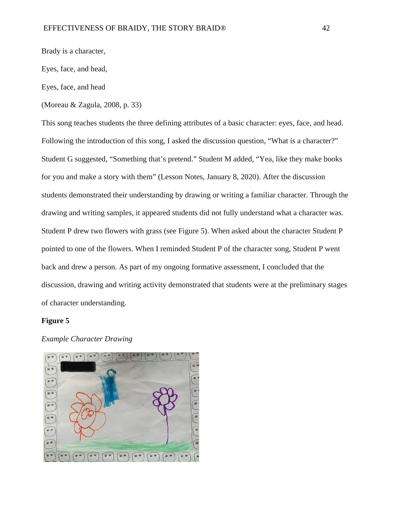Brady is a character,

Eyes, face, and head,

Eyes, face, and head

(Moreau & Zagula, 2008, p. 33)

This song teaches students the three defining attributes of a basic character: eyes, face, and head. Following the introduction of this song, I asked the discussion question, "What is a character?" Student G suggested, "Something that's pretend." Student M added, "Yea, like they make books for you and make a story with them" (Lesson Notes, January 8, 2020). After the discussion students demonstrated their understanding by drawing or writing a familiar character. Through the drawing and writing samples, it appeared students did not fully understand what a character was. Student P drew two flowers with grass (see Figure 5). When asked about the character Student P pointed to one of the flowers. When I reminded Student P of the character song, Student P went back and drew a person. As part of my ongoing formative assessment, I concluded that the discussion, drawing and writing activity demonstrated that students were at the preliminary stages of character understanding.

### **Figure 5**

### *Example Character Drawing*

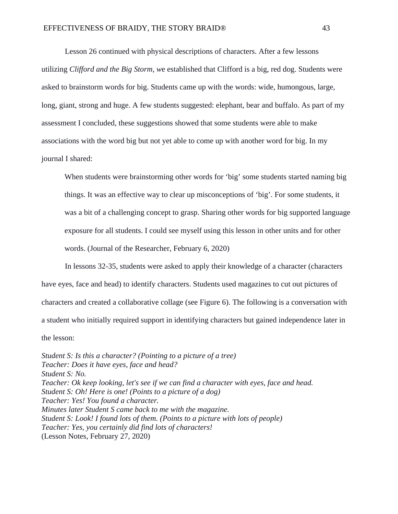Lesson 26 continued with physical descriptions of characters. After a few lessons utilizing *Clifford and the Big Storm, w*e established that Clifford is a big, red dog. Students were asked to brainstorm words for big. Students came up with the words: wide, humongous, large, long, giant, strong and huge. A few students suggested: elephant, bear and buffalo. As part of my assessment I concluded, these suggestions showed that some students were able to make associations with the word big but not yet able to come up with another word for big. In my journal I shared:

When students were brainstorming other words for 'big' some students started naming big things. It was an effective way to clear up misconceptions of 'big'. For some students, it was a bit of a challenging concept to grasp. Sharing other words for big supported language exposure for all students. I could see myself using this lesson in other units and for other words. (Journal of the Researcher, February 6, 2020)

In lessons 32-35, students were asked to apply their knowledge of a character (characters have eyes, face and head) to identify characters. Students used magazines to cut out pictures of characters and created a collaborative collage (see Figure 6). The following is a conversation with a student who initially required support in identifying characters but gained independence later in the lesson:

*Student S: Is this a character? (Pointing to a picture of a tree) Teacher: Does it have eyes, face and head? Student S: No. Teacher: Ok keep looking, let's see if we can find a character with eyes, face and head. Student S: Oh! Here is one! (Points to a picture of a dog) Teacher: Yes! You found a character. Minutes later Student S came back to me with the magazine. Student S: Look! I found lots of them. (Points to a picture with lots of people) Teacher: Yes, you certainly did find lots of characters!* (Lesson Notes, February 27, 2020)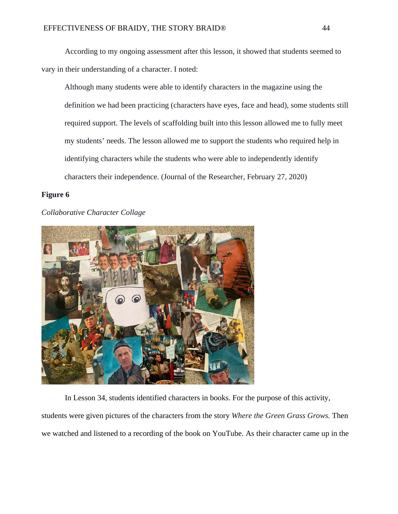According to my ongoing assessment after this lesson, it showed that students seemed to vary in their understanding of a character. I noted:

Although many students were able to identify characters in the magazine using the definition we had been practicing (characters have eyes, face and head), some students still required support. The levels of scaffolding built into this lesson allowed me to fully meet my students' needs. The lesson allowed me to support the students who required help in identifying characters while the students who were able to independently identify characters their independence. (Journal of the Researcher, February 27, 2020)

### **Figure 6**

### *Collaborative Character Collage*



In Lesson 34, students identified characters in books. For the purpose of this activity,

students were given pictures of the characters from the story *Where the Green Grass Grows.* Then we watched and listened to a recording of the book on YouTube. As their character came up in the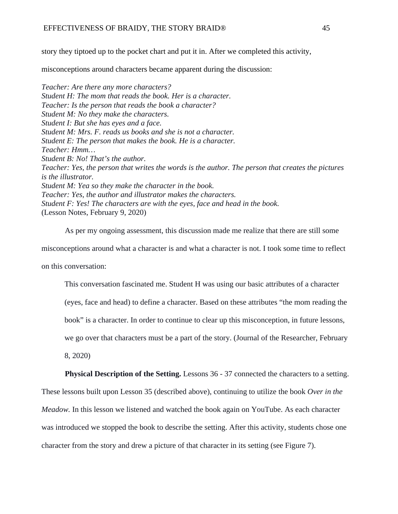story they tiptoed up to the pocket chart and put it in. After we completed this activity,

misconceptions around characters became apparent during the discussion:

*Teacher: Are there any more characters? Student H: The mom that reads the book. Her is a character. Teacher: Is the person that reads the book a character? Student M: No they make the characters. Student I: But she has eyes and a face. Student M: Mrs. F. reads us books and she is not a character. Student E: The person that makes the book. He is a character. Teacher: Hmm… Student B: No! That's the author. Teacher: Yes, the person that writes the words is the author. The person that creates the pictures is the illustrator. Student M: Yea so they make the character in the book. Teacher: Yes, the author and illustrator makes the characters. Student F: Yes! The characters are with the eyes, face and head in the book.* (Lesson Notes, February 9, 2020)

As per my ongoing assessment, this discussion made me realize that there are still some misconceptions around what a character is and what a character is not. I took some time to reflect on this conversation:

This conversation fascinated me. Student H was using our basic attributes of a character

(eyes, face and head) to define a character. Based on these attributes "the mom reading the

book" is a character. In order to continue to clear up this misconception, in future lessons,

we go over that characters must be a part of the story. (Journal of the Researcher, February

8, 2020)

**Physical Description of the Setting.** Lessons 36 - 37 connected the characters to a setting.

These lessons built upon Lesson 35 (described above), continuing to utilize the book *Over in the Meadow.* In this lesson we listened and watched the book again on YouTube. As each character was introduced we stopped the book to describe the setting. After this activity, students chose one character from the story and drew a picture of that character in its setting (see Figure 7).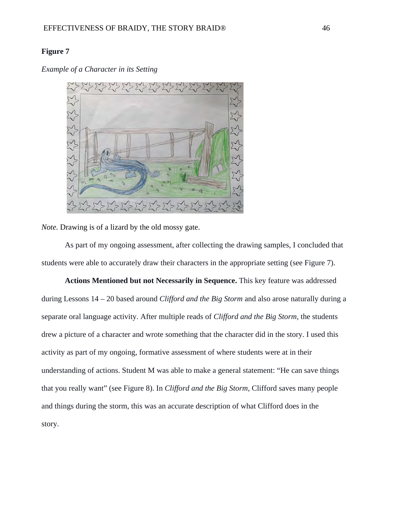### **Figure 7**

*Example of a Character in its Setting*



*Note.* Drawing is of a lizard by the old mossy gate.

As part of my ongoing assessment, after collecting the drawing samples, I concluded that students were able to accurately draw their characters in the appropriate setting (see Figure 7).

**Actions Mentioned but not Necessarily in Sequence.** This key feature was addressed during Lessons 14 – 20 based around *Clifford and the Big Storm* and also arose naturally during a separate oral language activity. After multiple reads of *Clifford and the Big Storm,* the students drew a picture of a character and wrote something that the character did in the story. I used this activity as part of my ongoing, formative assessment of where students were at in their understanding of actions. Student M was able to make a general statement: "He can save things that you really want" (see Figure 8). In *Clifford and the Big Storm,* Clifford saves many people and things during the storm, this was an accurate description of what Clifford does in the story.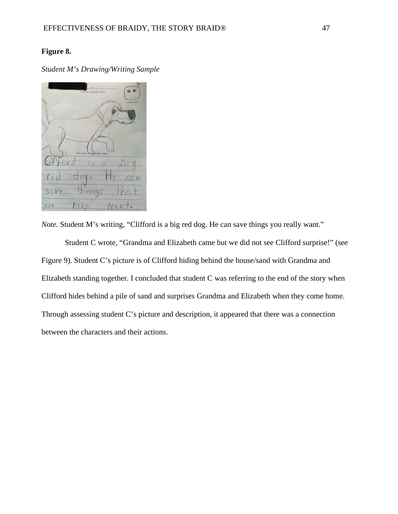### **Figure 8.**

*Student M's Drawing/Writing Sample*



*Note.* Student M's writing, "Clifford is a big red dog. He can save things you really want."

Student C wrote, "Grandma and Elizabeth came but we did not see Clifford surprise!" (see Figure 9). Student C's picture is of Clifford hiding behind the house/sand with Grandma and Elizabeth standing together. I concluded that student C was referring to the end of the story when Clifford hides behind a pile of sand and surprises Grandma and Elizabeth when they come home. Through assessing student C's picture and description, it appeared that there was a connection between the characters and their actions.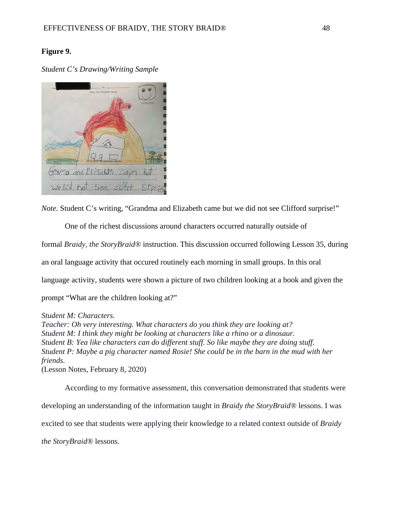### **Figure 9.**

*Student C's Drawing/Writing Sample*



*Note.* Student C's writing, "Grandma and Elizabeth came but we did not see Clifford surprise!"

One of the richest discussions around characters occurred naturally outside of formal *Braidy, the StoryBraid®* instruction. This discussion occurred following Lesson 35, during an oral language activity that occured routinely each morning in small groups. In this oral language activity, students were shown a picture of two children looking at a book and given the prompt "What are the children looking at?"

### *Student M: Characters.*

*Teacher: Oh very interesting. What characters do you think they are looking at? Student M: I think they might be looking at characters like a rhino or a dinosaur. Student B: Yea like characters can do different stuff. So like maybe they are doing stuff. Student P: Maybe a pig character named Rosie! She could be in the barn in the mud with her friends.*  (Lesson Notes, February 8, 2020)

According to my formative assessment, this conversation demonstrated that students were developing an understanding of the information taught in *Braidy the StoryBraid®* lessons. I was excited to see that students were applying their knowledge to a related context outside of *Braidy the StoryBraid®* lessons.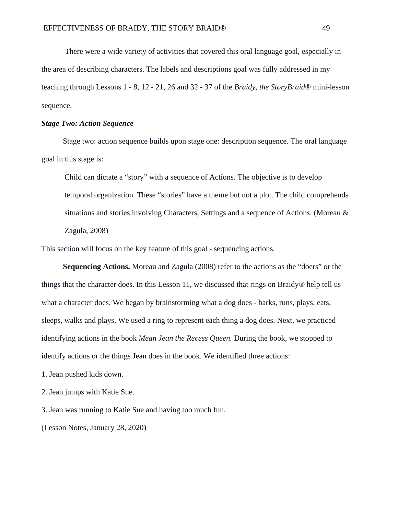There were a wide variety of activities that covered this oral language goal, especially in the area of describing characters. The labels and descriptions goal was fully addressed in my teaching through Lessons 1 - 8, 12 - 21, 26 and 32 - 37 of the *Braidy, the StoryBraid®* mini-lesson sequence.

#### *Stage Two: Action Sequence*

Stage two: action sequence builds upon stage one: description sequence. The oral language goal in this stage is:

Child can dictate a "story" with a sequence of Actions. The objective is to develop temporal organization. These "stories" have a theme but not a plot. The child comprehends situations and stories involving Characters, Settings and a sequence of Actions. (Moreau & Zagula, 2008)

This section will focus on the key feature of this goal - sequencing actions.

**Sequencing Actions.** Moreau and Zagula (2008) refer to the actions as the "doers" or the things that the character does. In this Lesson 11, we discussed that rings on Braidy*®* help tell us what a character does. We began by brainstorming what a dog does - barks, runs, plays, eats, sleeps, walks and plays. We used a ring to represent each thing a dog does. Next, we practiced identifying actions in the book *Mean Jean the Recess Queen.* During the book, we stopped to identify actions or the things Jean does in the book. We identified three actions:

1. Jean pushed kids down.

2. Jean jumps with Katie Sue.

3. Jean was running to Katie Sue and having too much fun.

(Lesson Notes, January 28, 2020)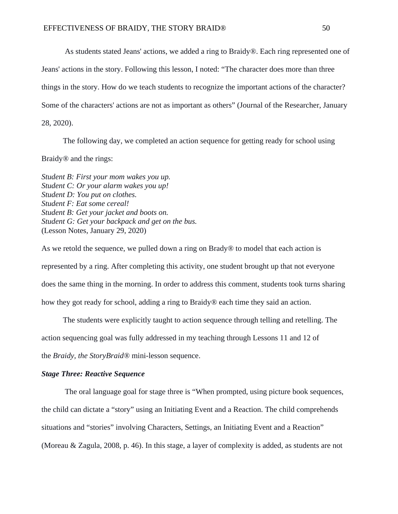As students stated Jeans' actions, we added a ring to Braidy*®*. Each ring represented one of Jeans' actions in the story. Following this lesson, I noted: "The character does more than three things in the story. How do we teach students to recognize the important actions of the character? Some of the characters' actions are not as important as others" (Journal of the Researcher, January 28, 2020).

The following day, we completed an action sequence for getting ready for school using Braidy*®* and the rings:

*Student B: First your mom wakes you up. Student C: Or your alarm wakes you up! Student D: You put on clothes. Student F: Eat some cereal! Student B: Get your jacket and boots on. Student G: Get your backpack and get on the bus.*  (Lesson Notes, January 29, 2020)

As we retold the sequence, we pulled down a ring on Brady*®* to model that each action is represented by a ring. After completing this activity, one student brought up that not everyone does the same thing in the morning. In order to address this comment, students took turns sharing how they got ready for school, adding a ring to Braidy*®* each time they said an action.

The students were explicitly taught to action sequence through telling and retelling. The action sequencing goal was fully addressed in my teaching through Lessons 11 and 12 of the *Braidy, the StoryBraid®* mini-lesson sequence.

#### *Stage Three: Reactive Sequence*

The oral language goal for stage three is "When prompted, using picture book sequences, the child can dictate a "story" using an Initiating Event and a Reaction. The child comprehends situations and "stories" involving Characters, Settings, an Initiating Event and a Reaction" (Moreau & Zagula, 2008, p. 46). In this stage, a layer of complexity is added, as students are not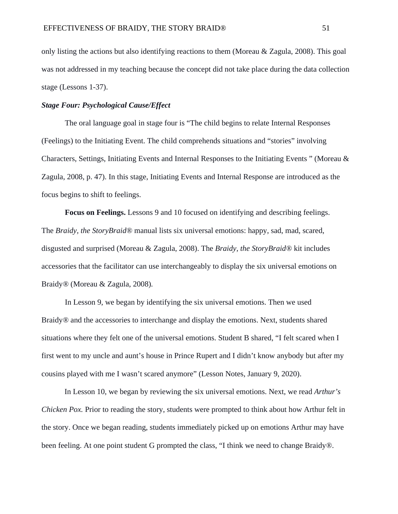only listing the actions but also identifying reactions to them (Moreau  $\&$  Zagula, 2008). This goal was not addressed in my teaching because the concept did not take place during the data collection stage (Lessons 1-37).

### *Stage Four: Psychological Cause/Effect*

The oral language goal in stage four is "The child begins to relate Internal Responses (Feelings) to the Initiating Event. The child comprehends situations and "stories" involving Characters, Settings, Initiating Events and Internal Responses to the Initiating Events " (Moreau & Zagula, 2008, p. 47). In this stage, Initiating Events and Internal Response are introduced as the focus begins to shift to feelings.

**Focus on Feelings.** Lessons 9 and 10 focused on identifying and describing feelings. The *Braidy, the StoryBraid®* manual lists six universal emotions: happy, sad, mad, scared, disgusted and surprised (Moreau & Zagula, 2008). The *Braidy, the StoryBraid®* kit includes accessories that the facilitator can use interchangeably to display the six universal emotions on Braidy*®* (Moreau & Zagula, 2008)*.*

In Lesson 9, we began by identifying the six universal emotions. Then we used Braidy*®* and the accessories to interchange and display the emotions. Next, students shared situations where they felt one of the universal emotions. Student B shared, "I felt scared when I first went to my uncle and aunt's house in Prince Rupert and I didn't know anybody but after my cousins played with me I wasn't scared anymore" (Lesson Notes, January 9, 2020).

In Lesson 10, we began by reviewing the six universal emotions. Next, we read *Arthur's Chicken Pox.* Prior to reading the story, students were prompted to think about how Arthur felt in the story. Once we began reading, students immediately picked up on emotions Arthur may have been feeling. At one point student G prompted the class, "I think we need to change Braidy*®*.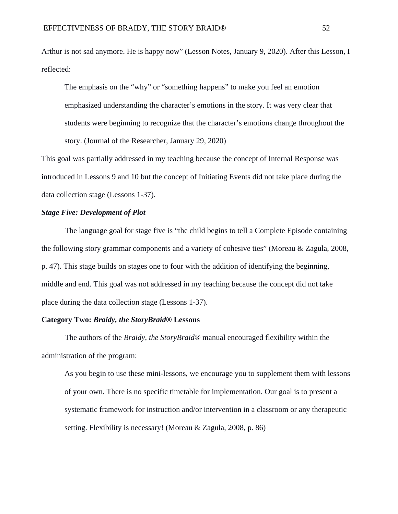Arthur is not sad anymore. He is happy now" (Lesson Notes, January 9, 2020). After this Lesson, I reflected:

The emphasis on the "why" or "something happens" to make you feel an emotion emphasized understanding the character's emotions in the story. It was very clear that students were beginning to recognize that the character's emotions change throughout the story. (Journal of the Researcher, January 29, 2020)

This goal was partially addressed in my teaching because the concept of Internal Response was introduced in Lessons 9 and 10 but the concept of Initiating Events did not take place during the data collection stage (Lessons 1-37).

### *Stage Five: Development of Plot*

The language goal for stage five is "the child begins to tell a Complete Episode containing the following story grammar components and a variety of cohesive ties" (Moreau & Zagula, 2008, p. 47). This stage builds on stages one to four with the addition of identifying the beginning, middle and end. This goal was not addressed in my teaching because the concept did not take place during the data collection stage (Lessons 1-37).

### **Category Two:** *Braidy, the StoryBraid®* **Lessons**

The authors of the *Braidy, the StoryBraid®* manual encouraged flexibility within the administration of the program:

As you begin to use these mini-lessons, we encourage you to supplement them with lessons of your own. There is no specific timetable for implementation. Our goal is to present a systematic framework for instruction and/or intervention in a classroom or any therapeutic setting. Flexibility is necessary! (Moreau & Zagula, 2008, p. 86)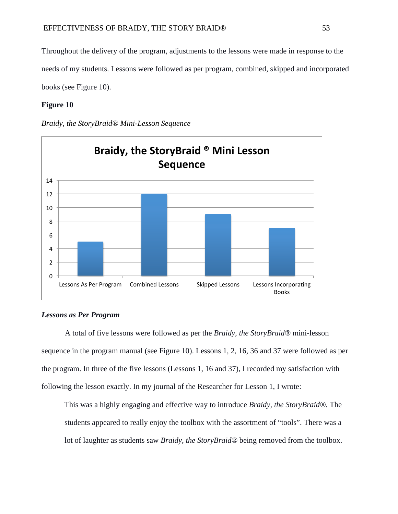Throughout the delivery of the program, adjustments to the lessons were made in response to the needs of my students. Lessons were followed as per program, combined, skipped and incorporated books (see Figure 10).

### **Figure 10**

*Braidy, the StoryBraid® Mini-Lesson Sequence*



### *Lessons as Per Program*

A total of five lessons were followed as per the *Braidy, the StoryBraid®* mini-lesson sequence in the program manual (see Figure 10). Lessons 1, 2, 16, 36 and 37 were followed as per the program. In three of the five lessons (Lessons 1, 16 and 37), I recorded my satisfaction with following the lesson exactly. In my journal of the Researcher for Lesson 1, I wrote:

This was a highly engaging and effective way to introduce *Braidy, the StoryBraid®.* The students appeared to really enjoy the toolbox with the assortment of "tools". There was a lot of laughter as students saw *Braidy, the StoryBraid®* being removed from the toolbox.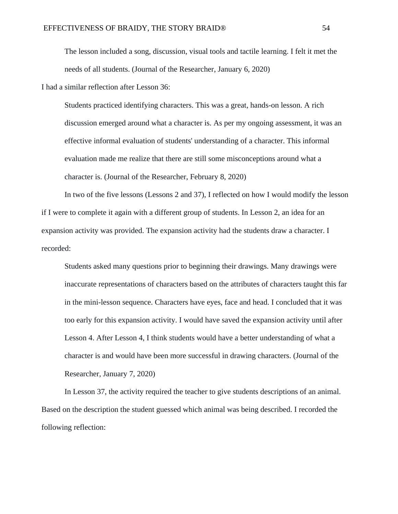The lesson included a song, discussion, visual tools and tactile learning. I felt it met the needs of all students. (Journal of the Researcher, January 6, 2020)

I had a similar reflection after Lesson 36:

Students practiced identifying characters. This was a great, hands-on lesson. A rich discussion emerged around what a character is. As per my ongoing assessment, it was an effective informal evaluation of students' understanding of a character. This informal evaluation made me realize that there are still some misconceptions around what a character is. (Journal of the Researcher, February 8, 2020)

In two of the five lessons (Lessons 2 and 37), I reflected on how I would modify the lesson if I were to complete it again with a different group of students. In Lesson 2, an idea for an expansion activity was provided. The expansion activity had the students draw a character. I recorded:

Students asked many questions prior to beginning their drawings. Many drawings were inaccurate representations of characters based on the attributes of characters taught this far in the mini-lesson sequence. Characters have eyes, face and head. I concluded that it was too early for this expansion activity. I would have saved the expansion activity until after Lesson 4. After Lesson 4, I think students would have a better understanding of what a character is and would have been more successful in drawing characters. (Journal of the Researcher, January 7, 2020)

In Lesson 37, the activity required the teacher to give students descriptions of an animal. Based on the description the student guessed which animal was being described. I recorded the following reflection: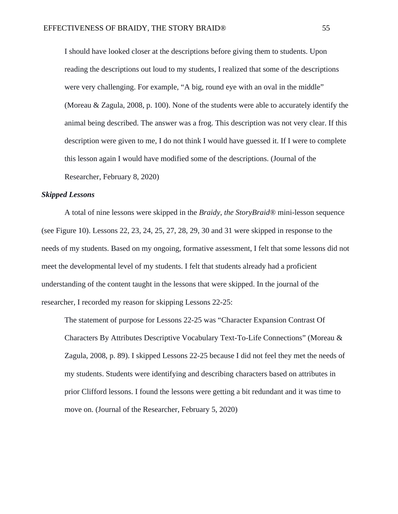I should have looked closer at the descriptions before giving them to students. Upon reading the descriptions out loud to my students, I realized that some of the descriptions were very challenging. For example, "A big, round eye with an oval in the middle" (Moreau & Zagula, 2008, p. 100). None of the students were able to accurately identify the animal being described. The answer was a frog. This description was not very clear. If this description were given to me, I do not think I would have guessed it. If I were to complete this lesson again I would have modified some of the descriptions. (Journal of the Researcher, February 8, 2020)

#### *Skipped Lessons*

A total of nine lessons were skipped in the *Braidy, the StoryBraid®* mini-lesson sequence (see Figure 10). Lessons 22, 23, 24, 25, 27, 28, 29, 30 and 31 were skipped in response to the needs of my students. Based on my ongoing, formative assessment, I felt that some lessons did not meet the developmental level of my students. I felt that students already had a proficient understanding of the content taught in the lessons that were skipped. In the journal of the researcher, I recorded my reason for skipping Lessons 22-25:

The statement of purpose for Lessons 22-25 was "Character Expansion Contrast Of Characters By Attributes Descriptive Vocabulary Text-To-Life Connections" (Moreau & Zagula, 2008, p. 89). I skipped Lessons 22-25 because I did not feel they met the needs of my students. Students were identifying and describing characters based on attributes in prior Clifford lessons. I found the lessons were getting a bit redundant and it was time to move on. (Journal of the Researcher, February 5, 2020)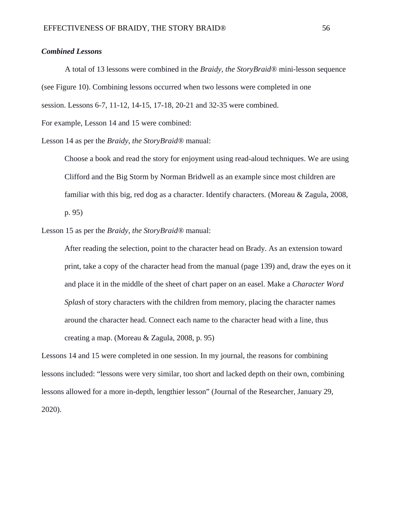### *Combined Lessons*

A total of 13 lessons were combined in the *Braidy, the StoryBraid®* mini-lesson sequence (see Figure 10). Combining lessons occurred when two lessons were completed in one session. Lessons 6-7, 11-12, 14-15, 17-18, 20-21 and 32-35 were combined.

For example, Lesson 14 and 15 were combined:

Lesson 14 as per the *Braidy, the StoryBraid®* manual:

Choose a book and read the story for enjoyment using read-aloud techniques. We are using Clifford and the Big Storm by Norman Bridwell as an example since most children are familiar with this big, red dog as a character. Identify characters. (Moreau & Zagula, 2008, p. 95)

Lesson 15 as per the *Braidy, the StoryBraid®* manual:

After reading the selection, point to the character head on Brady. As an extension toward print, take a copy of the character head from the manual (page 139) and, draw the eyes on it and place it in the middle of the sheet of chart paper on an easel. Make a *Character Word Splash* of story characters with the children from memory, placing the character names around the character head. Connect each name to the character head with a line, thus creating a map. (Moreau & Zagula, 2008, p. 95)

Lessons 14 and 15 were completed in one session. In my journal, the reasons for combining lessons included: "lessons were very similar, too short and lacked depth on their own, combining lessons allowed for a more in-depth, lengthier lesson" (Journal of the Researcher, January 29, 2020).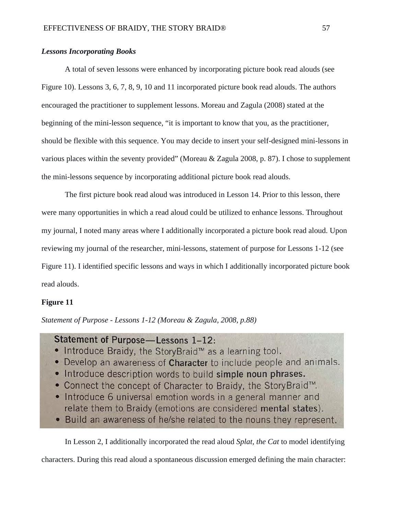### *Lessons Incorporating Books*

A total of seven lessons were enhanced by incorporating picture book read alouds (see Figure 10). Lessons 3, 6, 7, 8, 9, 10 and 11 incorporated picture book read alouds. The authors encouraged the practitioner to supplement lessons. Moreau and Zagula (2008) stated at the beginning of the mini-lesson sequence, "it is important to know that you, as the practitioner, should be flexible with this sequence. You may decide to insert your self-designed mini-lessons in various places within the seventy provided" (Moreau & Zagula 2008, p. 87). I chose to supplement the mini-lessons sequence by incorporating additional picture book read alouds.

The first picture book read aloud was introduced in Lesson 14. Prior to this lesson, there were many opportunities in which a read aloud could be utilized to enhance lessons. Throughout my journal, I noted many areas where I additionally incorporated a picture book read aloud. Upon reviewing my journal of the researcher, mini-lessons, statement of purpose for Lessons 1-12 (see Figure 11). I identified specific lessons and ways in which I additionally incorporated picture book read alouds.

### **Figure 11**

*Statement of Purpose - Lessons 1-12 (Moreau & Zagula, 2008, p.88)*

## Statement of Purpose—Lessons 1-12:

- Introduce Braidy, the StoryBraid<sup>™</sup> as a learning tool.
- Develop an awareness of Character to include people and animals.
- Introduce description words to build simple noun phrases.
- Connect the concept of Character to Braidy, the StoryBraid™.
- Introduce 6 universal emotion words in a general manner and relate them to Braidy (emotions are considered mental states).
- Build an awareness of he/she related to the nouns they represent.

In Lesson 2, I additionally incorporated the read aloud *Splat, the Cat* to model identifying

characters. During this read aloud a spontaneous discussion emerged defining the main character: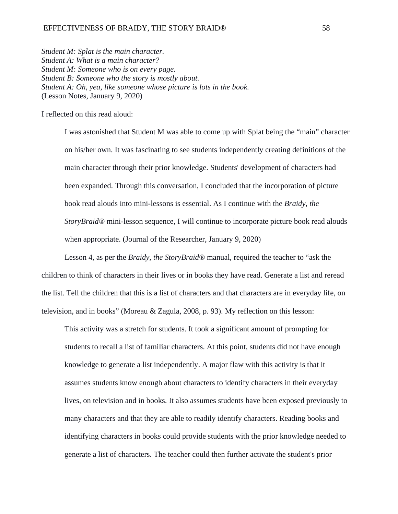### EFFECTIVENESS OF BRAIDY, THE STORY BRAID® 58

*Student M: Splat is the main character. Student A: What is a main character? Student M: Someone who is on every page. Student B: Someone who the story is mostly about. Student A: Oh, yea, like someone whose picture is lots in the book.* (Lesson Notes, January 9, 2020)

I reflected on this read aloud:

I was astonished that Student M was able to come up with Splat being the "main" character on his/her own. It was fascinating to see students independently creating definitions of the main character through their prior knowledge. Students' development of characters had been expanded. Through this conversation, I concluded that the incorporation of picture book read alouds into mini-lessons is essential. As I continue with the *Braidy, the StoryBraid®* mini-lesson sequence, I will continue to incorporate picture book read alouds when appropriate. (Journal of the Researcher, January 9, 2020)

Lesson 4, as per the *Braidy, the StoryBraid®* manual, required the teacher to "ask the children to think of characters in their lives or in books they have read. Generate a list and reread the list. Tell the children that this is a list of characters and that characters are in everyday life, on television, and in books" (Moreau & Zagula, 2008, p. 93). My reflection on this lesson:

This activity was a stretch for students. It took a significant amount of prompting for students to recall a list of familiar characters. At this point, students did not have enough knowledge to generate a list independently. A major flaw with this activity is that it assumes students know enough about characters to identify characters in their everyday lives, on television and in books. It also assumes students have been exposed previously to many characters and that they are able to readily identify characters. Reading books and identifying characters in books could provide students with the prior knowledge needed to generate a list of characters. The teacher could then further activate the student's prior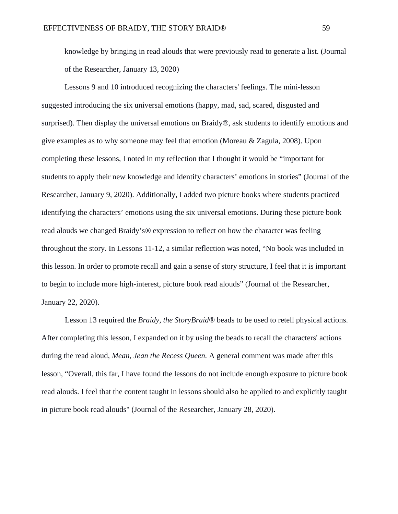knowledge by bringing in read alouds that were previously read to generate a list. (Journal of the Researcher, January 13, 2020)

Lessons 9 and 10 introduced recognizing the characters' feelings. The mini-lesson suggested introducing the six universal emotions (happy, mad, sad, scared, disgusted and surprised). Then display the universal emotions on Braidy*®*, ask students to identify emotions and give examples as to why someone may feel that emotion (Moreau & Zagula, 2008). Upon completing these lessons, I noted in my reflection that I thought it would be "important for students to apply their new knowledge and identify characters' emotions in stories" (Journal of the Researcher, January 9, 2020). Additionally, I added two picture books where students practiced identifying the characters' emotions using the six universal emotions. During these picture book read alouds we changed Braidy's*®* expression to reflect on how the character was feeling throughout the story. In Lessons 11-12, a similar reflection was noted, "No book was included in this lesson. In order to promote recall and gain a sense of story structure, I feel that it is important to begin to include more high-interest, picture book read alouds" (Journal of the Researcher, January 22, 2020).

Lesson 13 required the *Braidy, the StoryBraid®* beads to be used to retell physical actions. After completing this lesson, I expanded on it by using the beads to recall the characters' actions during the read aloud, *Mean, Jean the Recess Queen.* A general comment was made after this lesson, "Overall, this far, I have found the lessons do not include enough exposure to picture book read alouds. I feel that the content taught in lessons should also be applied to and explicitly taught in picture book read alouds" (Journal of the Researcher, January 28, 2020).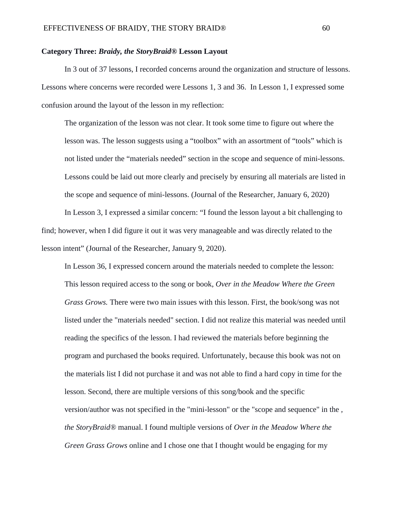### **Category Three:** *Braidy, the StoryBraid®* **Lesson Layout**

In 3 out of 37 lessons, I recorded concerns around the organization and structure of lessons. Lessons where concerns were recorded were Lessons 1, 3 and 36. In Lesson 1, I expressed some confusion around the layout of the lesson in my reflection:

The organization of the lesson was not clear. It took some time to figure out where the lesson was. The lesson suggests using a "toolbox" with an assortment of "tools" which is not listed under the "materials needed" section in the scope and sequence of mini-lessons. Lessons could be laid out more clearly and precisely by ensuring all materials are listed in the scope and sequence of mini-lessons. (Journal of the Researcher, January 6, 2020)

In Lesson 3, I expressed a similar concern: "I found the lesson layout a bit challenging to find; however, when I did figure it out it was very manageable and was directly related to the lesson intent" (Journal of the Researcher, January 9, 2020).

In Lesson 36, I expressed concern around the materials needed to complete the lesson: This lesson required access to the song or book, *Over in the Meadow Where the Green Grass Grows.* There were two main issues with this lesson. First, the book/song was not listed under the "materials needed" section. I did not realize this material was needed until reading the specifics of the lesson. I had reviewed the materials before beginning the program and purchased the books required. Unfortunately, because this book was not on the materials list I did not purchase it and was not able to find a hard copy in time for the lesson. Second, there are multiple versions of this song/book and the specific version/author was not specified in the "mini-lesson" or the "scope and sequence" in the *, the StoryBraid®* manual. I found multiple versions of *Over in the Meadow Where the Green Grass Grows* online and I chose one that I thought would be engaging for my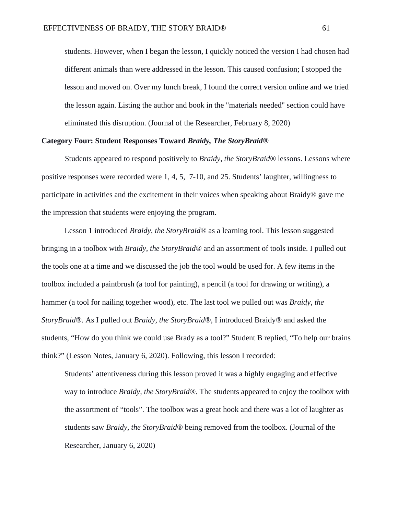students. However, when I began the lesson, I quickly noticed the version I had chosen had different animals than were addressed in the lesson. This caused confusion; I stopped the lesson and moved on. Over my lunch break, I found the correct version online and we tried the lesson again. Listing the author and book in the "materials needed" section could have eliminated this disruption. (Journal of the Researcher, February 8, 2020)

### **Category Four: Student Responses Toward** *Braidy, The StoryBraid®*

Students appeared to respond positively to *Braidy, the StoryBraid®* lessons. Lessons where positive responses were recorded were 1, 4, 5, 7-10, and 25. Students' laughter, willingness to participate in activities and the excitement in their voices when speaking about Braidy*®* gave me the impression that students were enjoying the program.

Lesson 1 introduced *Braidy, the StoryBraid®* as a learning tool. This lesson suggested bringing in a toolbox with *Braidy, the StoryBraid®* and an assortment of tools inside. I pulled out the tools one at a time and we discussed the job the tool would be used for. A few items in the toolbox included a paintbrush (a tool for painting), a pencil (a tool for drawing or writing), a hammer (a tool for nailing together wood), etc. The last tool we pulled out was *Braidy, the StoryBraid®.* As I pulled out *Braidy, the StoryBraid®,* I introduced Braidy*®* and asked the students, "How do you think we could use Brady as a tool?" Student B replied, "To help our brains think?" (Lesson Notes, January 6, 2020). Following, this lesson I recorded:

Students' attentiveness during this lesson proved it was a highly engaging and effective way to introduce *Braidy, the StoryBraid®.* The students appeared to enjoy the toolbox with the assortment of "tools". The toolbox was a great hook and there was a lot of laughter as students saw *Braidy, the StoryBraid®* being removed from the toolbox. (Journal of the Researcher, January 6, 2020)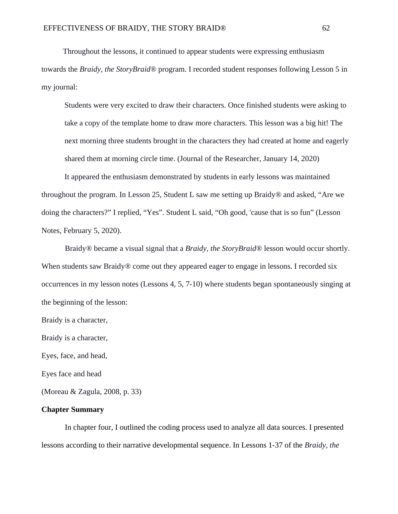Throughout the lessons, it continued to appear students were expressing enthusiasm towards the *Braidy, the StoryBraid®* program. I recorded student responses following Lesson 5 in my journal:

Students were very excited to draw their characters. Once finished students were asking to take a copy of the template home to draw more characters. This lesson was a big hit! The next morning three students brought in the characters they had created at home and eagerly shared them at morning circle time. (Journal of the Researcher, January 14, 2020)

It appeared the enthusiasm demonstrated by students in early lessons was maintained throughout the program. In Lesson 25, Student L saw me setting up Braidy*®* and asked, "Are we doing the characters?" I replied, "Yes". Student L said, "Oh good, 'cause that is so fun" (Lesson Notes, February 5, 2020).

Braidy*®* became a visual signal that a *Braidy, the StoryBraid®* lesson would occur shortly. When students saw Braidy*®* come out they appeared eager to engage in lessons. I recorded six occurrences in my lesson notes (Lessons 4, 5, 7-10) where students began spontaneously singing at the beginning of the lesson:

Braidy is a character,

Braidy is a character,

Eyes, face, and head,

Eyes face and head

(Moreau & Zagula, 2008, p. 33)

#### **Chapter Summary**

In chapter four, I outlined the coding process used to analyze all data sources. I presented lessons according to their narrative developmental sequence. In Lessons 1-37 of the *Braidy, the*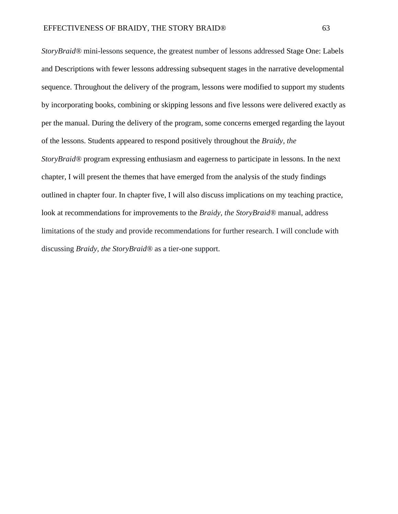*StoryBraid®* mini-lessons sequence, the greatest number of lessons addressed Stage One: Labels and Descriptions with fewer lessons addressing subsequent stages in the narrative developmental sequence. Throughout the delivery of the program, lessons were modified to support my students by incorporating books, combining or skipping lessons and five lessons were delivered exactly as per the manual. During the delivery of the program, some concerns emerged regarding the layout of the lessons. Students appeared to respond positively throughout the *Braidy, the StoryBraid®* program expressing enthusiasm and eagerness to participate in lessons. In the next chapter, I will present the themes that have emerged from the analysis of the study findings outlined in chapter four. In chapter five, I will also discuss implications on my teaching practice, look at recommendations for improvements to the *Braidy, the StoryBraid®* manual, address limitations of the study and provide recommendations for further research. I will conclude with discussing *Braidy, the StoryBraid®* as a tier-one support.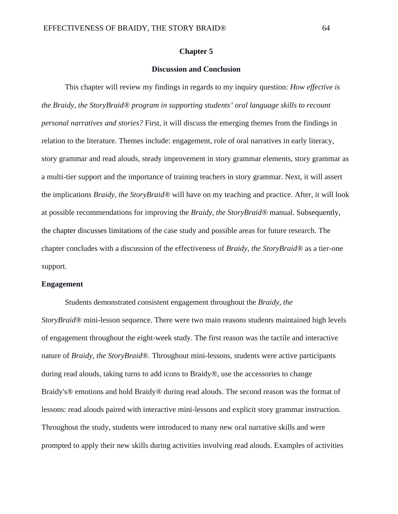#### **Chapter 5**

## **Discussion and Conclusion**

This chapter will review my findings in regards to my inquiry question: *How effective is the Braidy, the StoryBraid® program in supporting students' oral language skills to recount personal narratives and stories?* First, it will discuss the emerging themes from the findings in relation to the literature. Themes include: engagement, role of oral narratives in early literacy, story grammar and read alouds, steady improvement in story grammar elements, story grammar as a multi-tier support and the importance of training teachers in story grammar. Next, it will assert the implications *Braidy, the StoryBraid®* will have on my teaching and practice. After, it will look at possible recommendations for improving the *Braidy, the StoryBraid®* manual. Subsequently, the chapter discusses limitations of the case study and possible areas for future research. The chapter concludes with a discussion of the effectiveness of *Braidy, the StoryBraid®* as a tier-one support.

#### **Engagement**

Students demonstrated consistent engagement throughout the *Braidy, the StoryBraid®* mini-lesson sequence. There were two main reasons students maintained high levels of engagement throughout the eight-week study. The first reason was the tactile and interactive nature of *Braidy, the StoryBraid®*. Throughout mini-lessons, students were active participants during read alouds, taking turns to add icons to Braidy*®*, use the accessories to change Braidy's*®* emotions and hold Braidy*®* during read alouds. The second reason was the format of lessons: read alouds paired with interactive mini-lessons and explicit story grammar instruction. Throughout the study, students were introduced to many new oral narrative skills and were prompted to apply their new skills during activities involving read alouds. Examples of activities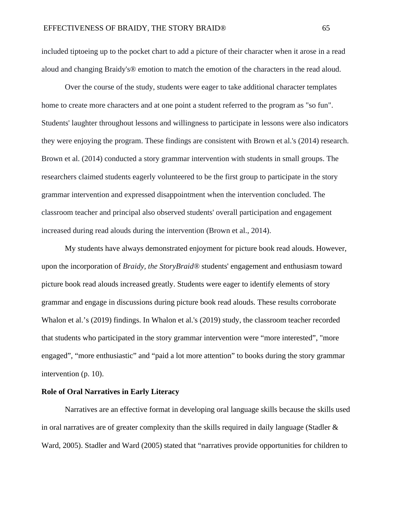included tiptoeing up to the pocket chart to add a picture of their character when it arose in a read aloud and changing Braidy's® emotion to match the emotion of the characters in the read aloud.

Over the course of the study, students were eager to take additional character templates home to create more characters and at one point a student referred to the program as "so fun". Students' laughter throughout lessons and willingness to participate in lessons were also indicators they were enjoying the program. These findings are consistent with Brown et al.'s (2014) research. Brown et al. (2014) conducted a story grammar intervention with students in small groups. The researchers claimed students eagerly volunteered to be the first group to participate in the story grammar intervention and expressed disappointment when the intervention concluded. The classroom teacher and principal also observed students' overall participation and engagement increased during read alouds during the intervention (Brown et al., 2014).

My students have always demonstrated enjoyment for picture book read alouds. However, upon the incorporation of *Braidy, the StoryBraid®* students' engagement and enthusiasm toward picture book read alouds increased greatly. Students were eager to identify elements of story grammar and engage in discussions during picture book read alouds. These results corroborate Whalon et al.'s (2019) findings. In Whalon et al.'s (2019) study, the classroom teacher recorded that students who participated in the story grammar intervention were "more interested", "more engaged", "more enthusiastic" and "paid a lot more attention" to books during the story grammar intervention (p. 10).

#### **Role of Oral Narratives in Early Literacy**

Narratives are an effective format in developing oral language skills because the skills used in oral narratives are of greater complexity than the skills required in daily language (Stadler  $\&$ Ward, 2005). Stadler and Ward (2005) stated that "narratives provide opportunities for children to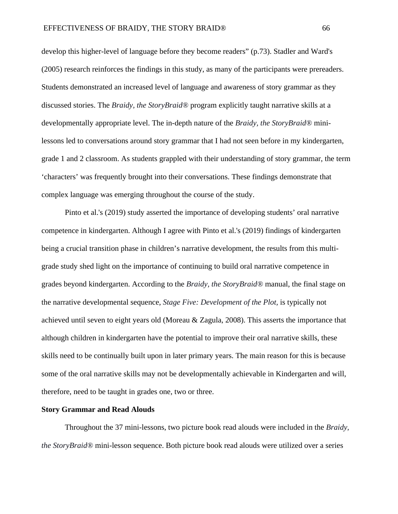develop this higher-level of language before they become readers" (p.73). Stadler and Ward's (2005) research reinforces the findings in this study, as many of the participants were prereaders. Students demonstrated an increased level of language and awareness of story grammar as they discussed stories. The *Braidy, the StoryBraid®* program explicitly taught narrative skills at a developmentally appropriate level. The in-depth nature of the *Braidy, the StoryBraid®* minilessons led to conversations around story grammar that I had not seen before in my kindergarten, grade 1 and 2 classroom. As students grappled with their understanding of story grammar, the term 'characters' was frequently brought into their conversations. These findings demonstrate that complex language was emerging throughout the course of the study.

Pinto et al.'s (2019) study asserted the importance of developing students' oral narrative competence in kindergarten. Although I agree with Pinto et al.'s (2019) findings of kindergarten being a crucial transition phase in children's narrative development, the results from this multigrade study shed light on the importance of continuing to build oral narrative competence in grades beyond kindergarten. According to the *Braidy, the StoryBraid®* manual, the final stage on the narrative developmental sequence, *Stage Five: Development of the Plot,* is typically not achieved until seven to eight years old (Moreau & Zagula, 2008). This asserts the importance that although children in kindergarten have the potential to improve their oral narrative skills, these skills need to be continually built upon in later primary years. The main reason for this is because some of the oral narrative skills may not be developmentally achievable in Kindergarten and will, therefore, need to be taught in grades one, two or three.

#### **Story Grammar and Read Alouds**

Throughout the 37 mini-lessons, two picture book read alouds were included in the *Braidy, the StoryBraid®* mini-lesson sequence. Both picture book read alouds were utilized over a series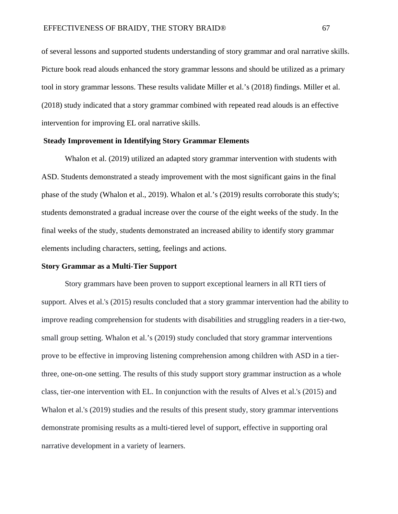of several lessons and supported students understanding of story grammar and oral narrative skills. Picture book read alouds enhanced the story grammar lessons and should be utilized as a primary tool in story grammar lessons. These results validate Miller et al.'s (2018) findings. Miller et al. (2018) study indicated that a story grammar combined with repeated read alouds is an effective intervention for improving EL oral narrative skills.

#### **Steady Improvement in Identifying Story Grammar Elements**

Whalon et al. (2019) utilized an adapted story grammar intervention with students with ASD. Students demonstrated a steady improvement with the most significant gains in the final phase of the study (Whalon et al., 2019). Whalon et al.'s (2019) results corroborate this study's; students demonstrated a gradual increase over the course of the eight weeks of the study. In the final weeks of the study, students demonstrated an increased ability to identify story grammar elements including characters, setting, feelings and actions.

#### **Story Grammar as a Multi-Tier Support**

Story grammars have been proven to support exceptional learners in all RTI tiers of support. Alves et al.'s (2015) results concluded that a story grammar intervention had the ability to improve reading comprehension for students with disabilities and struggling readers in a tier-two, small group setting. Whalon et al.'s (2019) study concluded that story grammar interventions prove to be effective in improving listening comprehension among children with ASD in a tierthree, one-on-one setting. The results of this study support story grammar instruction as a whole class, tier-one intervention with EL. In conjunction with the results of Alves et al.'s (2015) and Whalon et al.'s (2019) studies and the results of this present study, story grammar interventions demonstrate promising results as a multi-tiered level of support, effective in supporting oral narrative development in a variety of learners.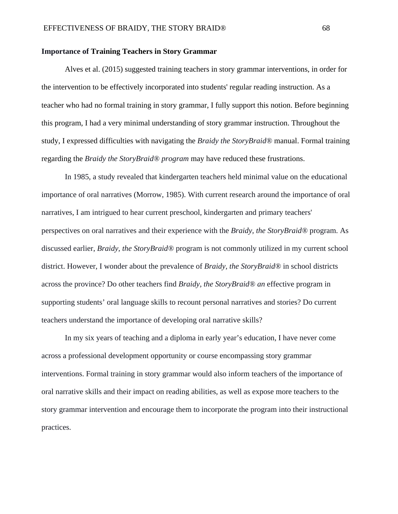#### **Importance of Training Teachers in Story Grammar**

Alves et al. (2015) suggested training teachers in story grammar interventions, in order for the intervention to be effectively incorporated into students' regular reading instruction. As a teacher who had no formal training in story grammar, I fully support this notion. Before beginning this program, I had a very minimal understanding of story grammar instruction. Throughout the study, I expressed difficulties with navigating the *Braidy the StoryBraid®* manual. Formal training regarding the *Braidy the StoryBraid® program* may have reduced these frustrations.

In 1985, a study revealed that kindergarten teachers held minimal value on the educational importance of oral narratives (Morrow, 1985). With current research around the importance of oral narratives, I am intrigued to hear current preschool, kindergarten and primary teachers' perspectives on oral narratives and their experience with the *Braidy, the StoryBraid®* program. As discussed earlier, *Braidy, the StoryBraid®* program is not commonly utilized in my current school district. However, I wonder about the prevalence of *Braidy, the StoryBraid®* in school districts across the province? Do other teachers find *Braidy, the StoryBraid® an* effective program in supporting students' oral language skills to recount personal narratives and stories? Do current teachers understand the importance of developing oral narrative skills?

In my six years of teaching and a diploma in early year's education, I have never come across a professional development opportunity or course encompassing story grammar interventions. Formal training in story grammar would also inform teachers of the importance of oral narrative skills and their impact on reading abilities, as well as expose more teachers to the story grammar intervention and encourage them to incorporate the program into their instructional practices.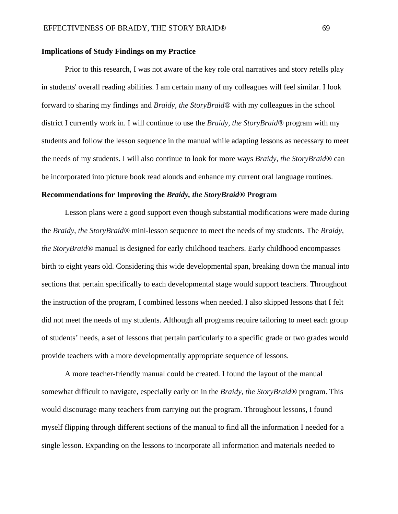#### **Implications of Study Findings on my Practice**

Prior to this research, I was not aware of the key role oral narratives and story retells play in students' overall reading abilities. I am certain many of my colleagues will feel similar. I look forward to sharing my findings and *Braidy, the StoryBraid®* with my colleagues in the school district I currently work in. I will continue to use the *Braidy, the StoryBraid®* program with my students and follow the lesson sequence in the manual while adapting lessons as necessary to meet the needs of my students. I will also continue to look for more ways *Braidy, the StoryBraid®* can be incorporated into picture book read alouds and enhance my current oral language routines.

#### **Recommendations for Improving the** *Braidy, the StoryBraid®* **Program**

Lesson plans were a good support even though substantial modifications were made during the *Braidy, the StoryBraid®* mini-lesson sequence to meet the needs of my students. The *Braidy, the StoryBraid®* manual is designed for early childhood teachers. Early childhood encompasses birth to eight years old. Considering this wide developmental span, breaking down the manual into sections that pertain specifically to each developmental stage would support teachers. Throughout the instruction of the program, I combined lessons when needed. I also skipped lessons that I felt did not meet the needs of my students. Although all programs require tailoring to meet each group of students' needs, a set of lessons that pertain particularly to a specific grade or two grades would provide teachers with a more developmentally appropriate sequence of lessons.

A more teacher-friendly manual could be created. I found the layout of the manual somewhat difficult to navigate, especially early on in the *Braidy, the StoryBraid®* program. This would discourage many teachers from carrying out the program. Throughout lessons, I found myself flipping through different sections of the manual to find all the information I needed for a single lesson. Expanding on the lessons to incorporate all information and materials needed to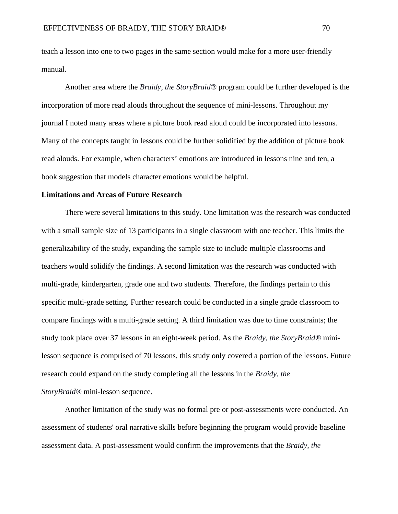teach a lesson into one to two pages in the same section would make for a more user-friendly manual.

Another area where the *Braidy, the StoryBraid®* program could be further developed is the incorporation of more read alouds throughout the sequence of mini-lessons. Throughout my journal I noted many areas where a picture book read aloud could be incorporated into lessons. Many of the concepts taught in lessons could be further solidified by the addition of picture book read alouds. For example, when characters' emotions are introduced in lessons nine and ten, a book suggestion that models character emotions would be helpful.

#### **Limitations and Areas of Future Research**

There were several limitations to this study. One limitation was the research was conducted with a small sample size of 13 participants in a single classroom with one teacher. This limits the generalizability of the study, expanding the sample size to include multiple classrooms and teachers would solidify the findings. A second limitation was the research was conducted with multi-grade, kindergarten, grade one and two students. Therefore, the findings pertain to this specific multi-grade setting. Further research could be conducted in a single grade classroom to compare findings with a multi-grade setting. A third limitation was due to time constraints; the study took place over 37 lessons in an eight-week period. As the *Braidy, the StoryBraid®* minilesson sequence is comprised of 70 lessons, this study only covered a portion of the lessons. Future research could expand on the study completing all the lessons in the *Braidy, the StoryBraid®* mini-lesson sequence.

Another limitation of the study was no formal pre or post-assessments were conducted. An assessment of students' oral narrative skills before beginning the program would provide baseline assessment data. A post-assessment would confirm the improvements that the *Braidy, the*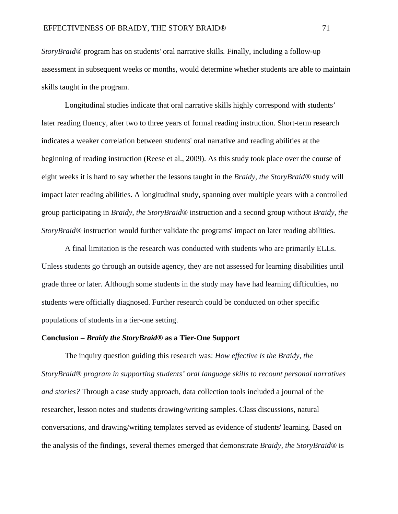*StoryBraid®* program has on students' oral narrative skills*.* Finally, including a follow-up assessment in subsequent weeks or months, would determine whether students are able to maintain skills taught in the program.

Longitudinal studies indicate that oral narrative skills highly correspond with students' later reading fluency, after two to three years of formal reading instruction. Short-term research indicates a weaker correlation between students' oral narrative and reading abilities at the beginning of reading instruction (Reese et al., 2009). As this study took place over the course of eight weeks it is hard to say whether the lessons taught in the *Braidy, the StoryBraid®* study will impact later reading abilities. A longitudinal study, spanning over multiple years with a controlled group participating in *Braidy, the StoryBraid®* instruction and a second group without *Braidy, the StoryBraid®* instruction would further validate the programs' impact on later reading abilities.

A final limitation is the research was conducted with students who are primarily ELLs. Unless students go through an outside agency, they are not assessed for learning disabilities until grade three or later. Although some students in the study may have had learning difficulties, no students were officially diagnosed. Further research could be conducted on other specific populations of students in a tier-one setting.

#### **Conclusion –** *Braidy the StoryBraid®* **as a Tier-One Support**

The inquiry question guiding this research was: *How effective is the Braidy, the StoryBraid® program in supporting students' oral language skills to recount personal narratives and stories?* Through a case study approach, data collection tools included a journal of the researcher, lesson notes and students drawing/writing samples. Class discussions, natural conversations, and drawing/writing templates served as evidence of students' learning. Based on the analysis of the findings, several themes emerged that demonstrate *Braidy, the StoryBraid®* is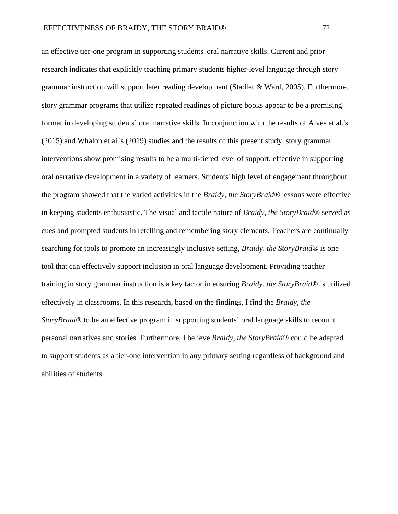an effective tier-one program in supporting students' oral narrative skills. Current and prior research indicates that explicitly teaching primary students higher-level language through story grammar instruction will support later reading development (Stadler & Ward, 2005). Furthermore, story grammar programs that utilize repeated readings of picture books appear to be a promising format in developing students' oral narrative skills. In conjunction with the results of Alves et al.'s (2015) and Whalon et al.'s (2019) studies and the results of this present study, story grammar interventions show promising results to be a multi-tiered level of support, effective in supporting oral narrative development in a variety of learners. Students' high level of engagement throughout the program showed that the varied activities in the *Braidy, the StoryBraid®* lessons were effective in keeping students enthusiastic. The visual and tactile nature of *Braidy, the StoryBraid®* served as cues and prompted students in retelling and remembering story elements. Teachers are continually searching for tools to promote an increasingly inclusive setting, *Braidy, the StoryBraid®* is one tool that can effectively support inclusion in oral language development. Providing teacher training in story grammar instruction is a key factor in ensuring *Braidy, the StoryBraid®* is utilized effectively in classrooms. In this research, based on the findings, I find the *Braidy, the StoryBraid®* to be an effective program in supporting students' oral language skills to recount personal narratives and stories. Furthermore, I believe *Braidy, the StoryBraid®* could be adapted to support students as a tier-one intervention in any primary setting regardless of background and abilities of students.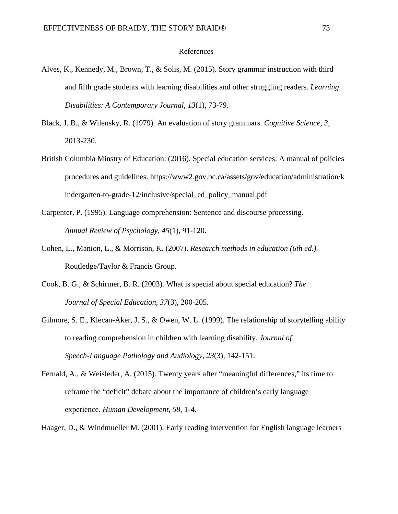#### References

- Alves, K., Kennedy, M., Brown, T., & Solis, M. (2015). Story grammar instruction with third and fifth grade students with learning disabilities and other struggling readers. *Learning Disabilities: A Contemporary Journal*, *13*(1), 73-79.
- Black, J. B., & Wilensky, R. (1979). An evaluation of story grammars. *Cognitive Science, 3*, 2013-230.
- British Columbia Minstry of Education. (2016). Special education services: A manual of policies procedures and guidelines. https://www2.gov.bc.ca/assets/gov/education/administration/k indergarten-to-grade-12/inclusive/special\_ed\_policy\_manual.pdf
- Carpenter, P. (1995). Language comprehension: Sentence and discourse processing. *Annual Review of Psychology, 45*(1), 91-120.
- Cohen, L., Manion, L., & Morrison, K. (2007). *Research methods in education (6th ed.).*  Routledge/Taylor & Francis Group.
- Cook, B. G., & Schirmer, B. R. (2003). What is special about special education? *The Journal of Special Education, 37*(3), 200-205.
- Gilmore, S. E., Klecan-Aker, J. S., & Owen, W. L. (1999). The relationship of storytelling ability to reading comprehension in children with learning disability. *Journal of Speech-Language Pathology and Audiology, 23*(3), 142-151.
- Fernald, A., & Weisleder, A. (2015). Twenty years after "meaningful differences," its time to reframe the "deficit" debate about the importance of children's early language experience. *Human Development, 58*, 1-4.
- Haager, D., & Windmueller M. (2001). Early reading intervention for English language learners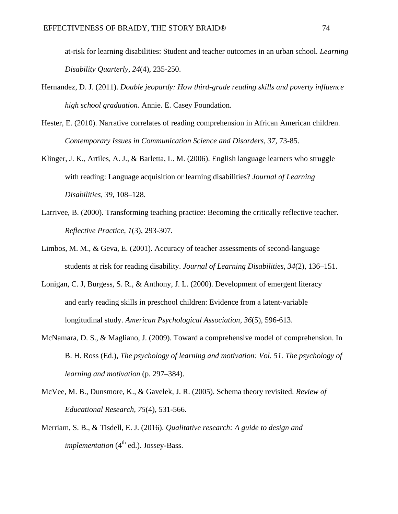at-risk for learning disabilities: Student and teacher outcomes in an urban school. *Learning Disability Quarterly, 24*(4), 235-250.

- Hernandez, D. J. (2011). *Double jeopardy: How third-grade reading skills and poverty influence high school graduation.* Annie. E. Casey Foundation.
- Hester, E. (2010). Narrative correlates of reading comprehension in African American children. *Contemporary Issues in Communication Science and Disorders, 37,* 73-85.
- Klinger, J. K., Artiles, A. J., & Barletta, L. M. (2006). English language learners who struggle with reading: Language acquisition or learning disabilities? *Journal of Learning Disabilities, 39*, 108–128.
- Larrivee, B. (2000). Transforming teaching practice: Becoming the critically reflective teacher. *Reflective Practice, 1*(3), 293-307.
- Limbos, M. M., & Geva, E. (2001). Accuracy of teacher assessments of second-language students at risk for reading disability. *Journal of Learning Disabilities*, *34*(2), 136–151.
- Lonigan, C. J, Burgess, S. R., & Anthony, J. L. (2000). Development of emergent literacy and early reading skills in preschool children: Evidence from a latent-variable longitudinal study. *American Psychological Association, 36*(5), 596-613.
- McNamara, D. S., & Magliano, J. (2009). Toward a comprehensive model of comprehension. In B. H. Ross (Ed.), *The psychology of learning and motivation: Vol. 51. The psychology of learning and motivation* (p. 297–384).
- McVee, M. B., Dunsmore, K., & Gavelek, J. R. (2005). Schema theory revisited. *Review of Educational Research, 75*(4), 531-566.
- Merriam, S. B., & Tisdell, E. J. (2016). *Qualitative research: A guide to design and implementation* (4<sup>th</sup> ed.). Jossey-Bass.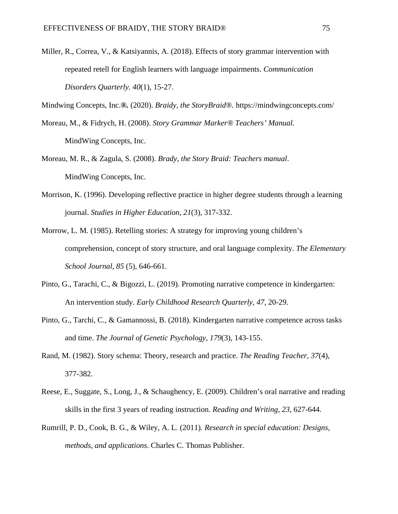Miller, R., Correa, V., & Katsiyannis, A. (2018). Effects of story grammar intervention with repeated retell for English learners with language impairments. *Communication Disorders Quarterly. 40*(1), 15-27.

Mindwing Concepts, Inc.*®.* (2020). *Braidy, the StoryBraid®.* https://mindwingconcepts.com/

- Moreau, M., & Fidrych, H. (2008). *Story Grammar Marker® Teachers' Manual.*  MindWing Concepts, Inc.
- Moreau, M. R., & Zagula, S. (2008). *Brady, the Story Braid: Teachers manual*. MindWing Concepts, Inc.
- Morrison, K. (1996). Developing reflective practice in higher degree students through a learning journal. *Studies in Higher Education, 21*(3), 317-332.
- Morrow, L. M. (1985). Retelling stories: A strategy for improving young children's comprehension, concept of story structure, and oral language complexity. *The Elementary School Journal, 85* (5), 646-661.
- Pinto, G., Tarachi, C., & Bigozzi, L. (2019). Promoting narrative competence in kindergarten: An intervention study. *Early Childhood Research Quarterly, 47*, 20-29.
- Pinto, G., Tarchi, C., & Gamannossi, B. (2018). Kindergarten narrative competence across tasks and time. *The Journal of Genetic Psychology, 179*(3), 143-155.
- Rand, M. (1982). Story schema: Theory, research and practice. *The Reading Teacher, 37*(4), 377-382.
- Reese, E., Suggate, S., Long, J., & Schaughency, E. (2009). Children's oral narrative and reading skills in the first 3 years of reading instruction. *Reading and Writing, 23*, 627-644.
- Rumrill, P. D., Cook, B. G., & Wiley, A. L. (2011)*. Research in special education: Designs, methods, and applications*. Charles C. Thomas Publisher.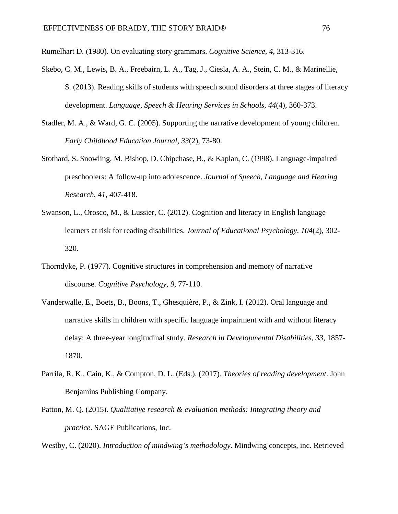Rumelhart D. (1980). On evaluating story grammars. *Cognitive Science, 4*, 313-316.

- Skebo, C. M., Lewis, B. A., Freebairn, L. A., Tag, J., Ciesla, A. A., Stein, C. M., & Marinellie, S. (2013). Reading skills of students with speech sound disorders at three stages of literacy development. *Language, Speech & Hearing Services in Schools, 44*(4), 360-373.
- Stadler, M. A., & Ward, G. C. (2005). Supporting the narrative development of young children. *Early Childhood Education Journal, 33*(2), 73-80.
- Stothard, S. Snowling, M. Bishop, D. Chipchase, B., & Kaplan, C. (1998). Language-impaired preschoolers: A follow-up into adolescence. *Journal of Speech, Language and Hearing Research*, *41*, 407-418.
- Swanson, L., Orosco, M., & Lussier, C. (2012). Cognition and literacy in English language learners at risk for reading disabilities. *Journal of Educational Psychology, 104*(2), 302- 320.
- Thorndyke, P. (1977). Cognitive structures in comprehension and memory of narrative discourse. *Cognitive Psychology, 9*, 77-110.
- Vanderwalle, E., Boets, B., Boons, T., Ghesquière, P., & Zink, I. (2012). Oral language and narrative skills in children with specific language impairment with and without literacy delay: A three-year longitudinal study. *Research in Developmental Disabilities, 33,* 1857- 1870.
- Parrila, R. K., Cain, K., & Compton, D. L. (Eds.). (2017). *Theories of reading development*. John Benjamins Publishing Company.
- Patton, M. Q. (2015). *Qualitative research & evaluation methods: Integrating theory and practice*. SAGE Publications, Inc.

Westby, C. (2020). *Introduction of mindwing's methodology*. Mindwing concepts, inc. Retrieved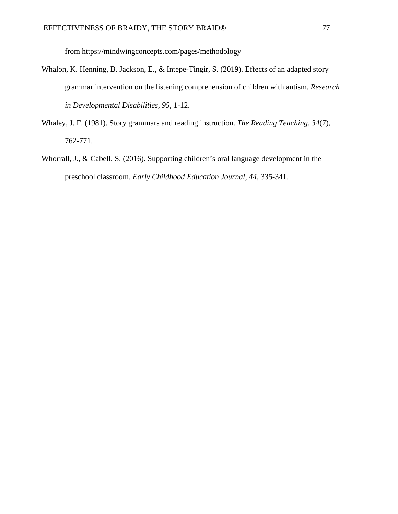from https://mindwingconcepts.com/pages/methodology

- Whalon, K. Henning, B. Jackson, E., & Intepe-Tingir, S. (2019). Effects of an adapted story grammar intervention on the listening comprehension of children with autism. *Research in Developmental Disabilities, 95,* 1-12.
- Whaley, J. F. (1981). Story grammars and reading instruction. *The Reading Teaching, 34*(7), 762-771.
- Whorrall, J., & Cabell, S. (2016). Supporting children's oral language development in the preschool classroom. *Early Childhood Education Journal, 44*, 335-341.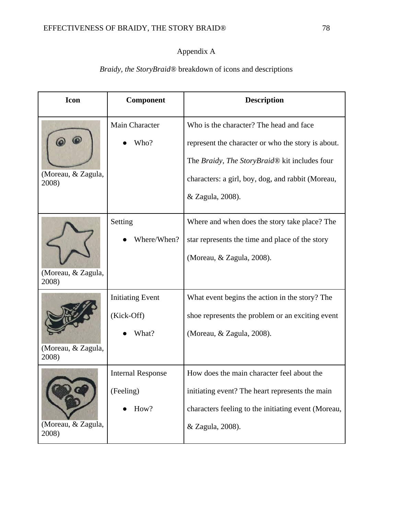# Appendix A

# **Icon Component Description**  Main Character Who is the character? The head and face  $\circ$ Who? represent the character or who the story is about. The *Braidy, The StoryBraid®* kit includes four (Moreau, & Zagula, characters: a girl, boy, dog, and rabbit (Moreau, 2008) & Zagula, 2008). Where and when does the story take place? The Setting Where/When? star represents the time and place of the story (Moreau, & Zagula, 2008). (Moreau, & Zagula, 2008) Initiating Event What event begins the action in the story? The (Kick-Off) shoe represents the problem or an exciting event What? (Moreau, & Zagula, 2008). (Moreau, & Zagula, 2008) Internal Response How does the main character feel about the (Feeling) initiating event? The heart represents the main  $\bullet$  How? characters feeling to the initiating event (Moreau, (Moreau, & Zagula, & Zagula, 2008).2008)

# *Braidy, the StoryBraid®* breakdown of icons and descriptions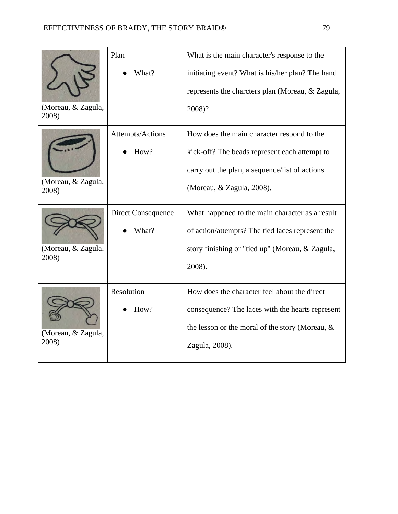|                             | Plan               | What is the main character's response to the       |
|-----------------------------|--------------------|----------------------------------------------------|
|                             | What?              | initiating event? What is his/her plan? The hand   |
|                             |                    | represents the charcters plan (Moreau, & Zagula,   |
| (Moreau, & Zagula,<br>2008) |                    | 2008)?                                             |
| (Moreau, & Zagula,<br>2008) | Attempts/Actions   | How does the main character respond to the         |
|                             | How?               | kick-off? The beads represent each attempt to      |
|                             |                    | carry out the plan, a sequence/list of actions     |
|                             |                    | (Moreau, & Zagula, 2008).                          |
| (Moreau, & Zagula,<br>2008) | Direct Consequence | What happened to the main character as a result    |
|                             | What?              | of action/attempts? The tied laces represent the   |
|                             |                    | story finishing or "tied up" (Moreau, & Zagula,    |
|                             |                    | 2008).                                             |
| (Moreau, & Zagula,<br>2008) | Resolution         | How does the character feel about the direct       |
|                             | How?               | consequence? The laces with the hearts represent   |
|                             |                    | the lesson or the moral of the story (Moreau, $\&$ |
|                             |                    | Zagula, 2008).                                     |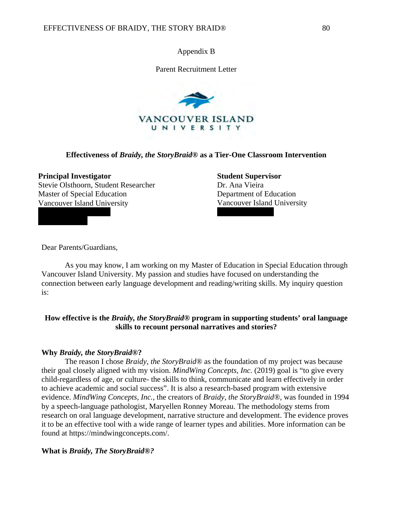Appendix B

Parent Recruitment Letter



## **Effectiveness of** *Braidy, the StoryBraid®* **as a Tier-One Classroom Intervention**

### **Principal Investigator**

Stevie Olsthoorn, Student Researcher Master of Special Education Vancouver Island University

**Student Supervisor** Dr. Ana Vieira Department of Education Vancouver Island University

Dear Parents/Guardians,

 As you may know, I am working on my Master of Education in Special Education through Vancouver Island University. My passion and studies have focused on understanding the connection between early language development and reading/writing skills. My inquiry question is:

# **How effective is the** *Braidy, the StoryBraid®* **program in supporting students' oral language skills to recount personal narratives and stories?**

## **Why** *Braidy, the StoryBraid®***?**

The reason I chose *Braidy, the StoryBraid®* as the foundation of my project was because their goal closely aligned with my vision. *MindWing Concepts, Inc.* (2019) goal is "to give every child-regardless of age, or culture- the skills to think, communicate and learn effectively in order to achieve academic and social success". It is also a research-based program with extensive evidence. *MindWing Concepts, Inc.,* the creators of *Braidy, the StoryBraid®,* was founded in 1994 by a speech-language pathologist, Maryellen Ronney Moreau. The methodology stems from research on oral language development, narrative structure and development. The evidence proves it to be an effective tool with a wide range of learner types and abilities. More information can be found at https://mindwingconcepts.com/.

## **What is** *Braidy, The StoryBraid®?*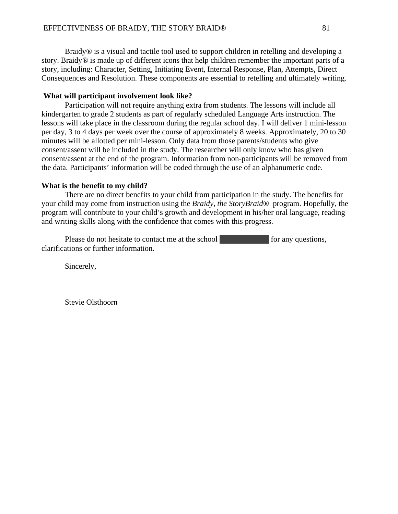Braidy*®* is a visual and tactile tool used to support children in retelling and developing a story. Braidy*®* is made up of different icons that help children remember the important parts of a story, including: Character, Setting, Initiating Event, Internal Response, Plan, Attempts, Direct Consequences and Resolution. These components are essential to retelling and ultimately writing.

#### **What will participant involvement look like?**

 Participation will not require anything extra from students. The lessons will include all kindergarten to grade 2 students as part of regularly scheduled Language Arts instruction. The lessons will take place in the classroom during the regular school day. I will deliver 1 mini-lesson per day, 3 to 4 days per week over the course of approximately 8 weeks. Approximately, 20 to 30 minutes will be allotted per mini-lesson. Only data from those parents/students who give consent/assent will be included in the study. The researcher will only know who has given consent/assent at the end of the program. Information from non-participants will be removed from the data. Participants' information will be coded through the use of an alphanumeric code.

#### **What is the benefit to my child?**

There are no direct benefits to your child from participation in the study. The benefits for your child may come from instruction using the *Braidy, the StoryBraid®* program. Hopefully, the program will contribute to your child's growth and development in his/her oral language, reading and writing skills along with the confidence that comes with this progress.

Please do not hesitate to contact me at the school for any questions, clarifications or further information.

Sincerely,

Stevie Olsthoorn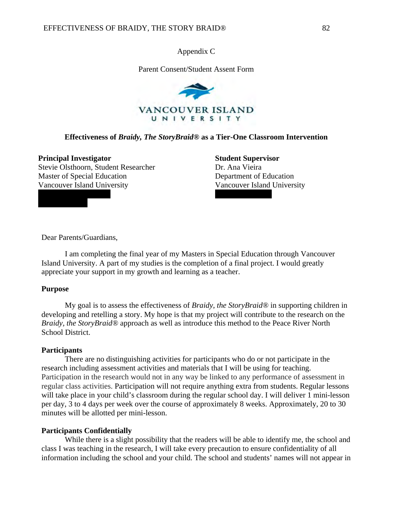Appendix C

Parent Consent/Student Assent Form



## **Effectiveness of** *Braidy, The StoryBraid®* **as a Tier-One Classroom Intervention**

#### **Principal Investigator**

Stevie Olsthoorn, Student Researcher Master of Special Education Vancouver Island University

**Student Supervisor** Dr. Ana Vieira Department of Education Vancouver Island University

Dear Parents/Guardians,

I am completing the final year of my Masters in Special Education through Vancouver Island University. A part of my studies is the completion of a final project. I would greatly appreciate your support in my growth and learning as a teacher.

### **Purpose**

My goal is to assess the effectiveness of *Braidy, the StoryBraid®* in supporting children in developing and retelling a story. My hope is that my project will contribute to the research on the *Braidy, the StoryBraid®* approach as well as introduce this method to the Peace River North School District.

### **Participants**

 There are no distinguishing activities for participants who do or not participate in the research including assessment activities and materials that I will be using for teaching. Participation in the research would not in any way be linked to any performance of assessment in regular class activities. Participation will not require anything extra from students. Regular lessons will take place in your child's classroom during the regular school day. I will deliver 1 mini-lesson per day, 3 to 4 days per week over the course of approximately 8 weeks. Approximately, 20 to 30 minutes will be allotted per mini-lesson.

#### **Participants Confidentially**

While there is a slight possibility that the readers will be able to identify me, the school and class I was teaching in the research, I will take every precaution to ensure confidentiality of all information including the school and your child. The school and students' names will not appear in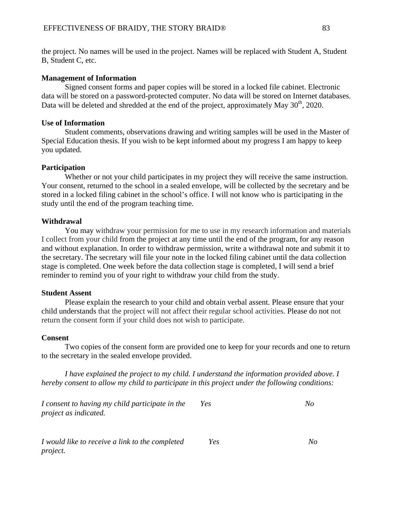the project. No names will be used in the project. Names will be replaced with Student A, Student B, Student C, etc.

## **Management of Information**

Signed consent forms and paper copies will be stored in a locked file cabinet. Electronic data will be stored on a password-protected computer. No data will be stored on Internet databases. Data will be deleted and shredded at the end of the project, approximately May  $30<sup>th</sup>$ , 2020.

## **Use of Information**

Student comments, observations drawing and writing samples will be used in the Master of Special Education thesis. If you wish to be kept informed about my progress I am happy to keep you updated.

## **Participation**

 Whether or not your child participates in my project they will receive the same instruction. Your consent, returned to the school in a sealed envelope, will be collected by the secretary and be stored in a locked filing cabinet in the school's office. I will not know who is participating in the study until the end of the program teaching time.

## **Withdrawal**

 You may withdraw your permission for me to use in my research information and materials I collect from your child from the project at any time until the end of the program, for any reason and without explanation. In order to withdraw permission, write a withdrawal note and submit it to the secretary. The secretary will file your note in the locked filing cabinet until the data collection stage is completed. One week before the data collection stage is completed, I will send a brief reminder to remind you of your right to withdraw your child from the study.

## **Student Assent**

 Please explain the research to your child and obtain verbal assent. Please ensure that your child understands that the project will not affect their regular school activities. Please do not not return the consent form if your child does not wish to participate.

### **Consent**

Two copies of the consent form are provided one to keep for your records and one to return to the secretary in the sealed envelope provided.

*I have explained the project to my child. I understand the information provided above. I hereby consent to allow my child to participate in this project under the following conditions:*

*I consent to having my child participate in the project as indicated. Yes No* 

*I would like to receive a link to the completed project. Yes No*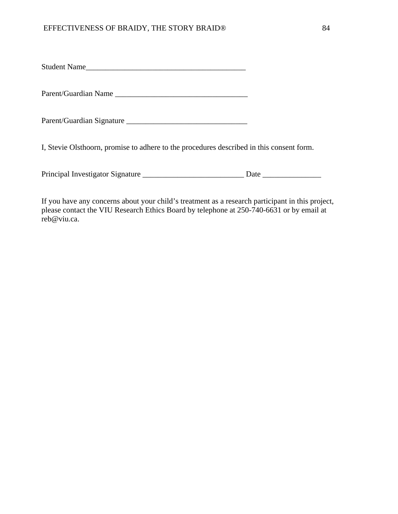Student Name\_\_\_\_\_\_\_\_\_\_\_\_\_\_\_\_\_\_\_\_\_\_\_\_\_\_\_\_\_\_\_\_\_\_\_\_\_\_\_\_\_

Parent/Guardian Name

Parent/Guardian Signature \_\_\_\_\_\_\_\_\_\_\_\_\_\_\_\_\_\_\_\_\_\_\_\_\_\_\_\_\_\_\_

I, Stevie Olsthoorn, promise to adhere to the procedures described in this consent form.

Principal Investigator Signature \_\_\_\_\_\_\_\_\_\_\_\_\_\_\_\_\_\_\_\_\_\_\_\_\_\_ Date \_\_\_\_\_\_\_\_\_\_\_\_\_\_\_

If you have any concerns about your child's treatment as a research participant in this project, please contact the VIU Research Ethics Board by telephone at 250-740-6631 or by email at reb@viu.ca.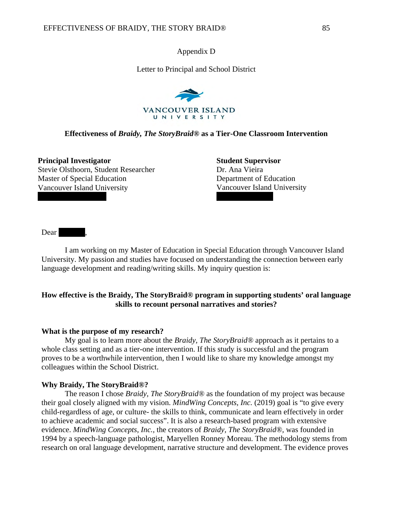Appendix D

Letter to Principal and School District



### **Effectiveness of** *Braidy, The StoryBraid®* **as a Tier-One Classroom Intervention**

**Principal Investigator** Stevie Olsthoorn, Student Researcher Master of Special Education Vancouver Island University

**Student Supervisor** Dr. Ana Vieira Department of Education Vancouver Island University

Dear .

I am working on my Master of Education in Special Education through Vancouver Island University. My passion and studies have focused on understanding the connection between early language development and reading/writing skills. My inquiry question is:

## **How effective is the Braidy, The StoryBraid® program in supporting students' oral language skills to recount personal narratives and stories?**

### **What is the purpose of my research?**

My goal is to learn more about the *Braidy, The StoryBraid®* approach as it pertains to a whole class setting and as a tier-one intervention. If this study is successful and the program proves to be a worthwhile intervention, then I would like to share my knowledge amongst my colleagues within the School District.

#### **Why Braidy, The StoryBraid®?**

The reason I chose *Braidy, The StoryBraid®* as the foundation of my project was because their goal closely aligned with my vision. *MindWing Concepts, Inc.* (2019) goal is "to give every child-regardless of age, or culture- the skills to think, communicate and learn effectively in order to achieve academic and social success". It is also a research-based program with extensive evidence. *MindWing Concepts, Inc.,* the creators of *Braidy, The StoryBraid®,* was founded in 1994 by a speech-language pathologist, Maryellen Ronney Moreau. The methodology stems from research on oral language development, narrative structure and development. The evidence proves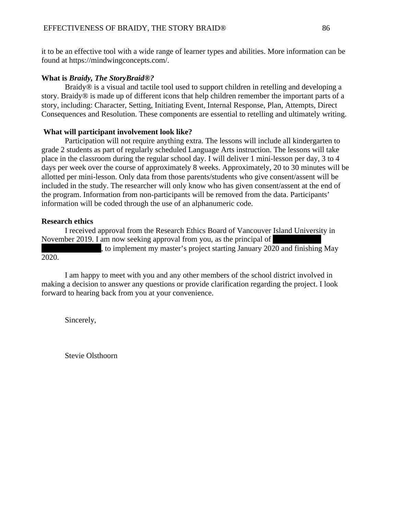it to be an effective tool with a wide range of learner types and abilities. More information can be found at https://mindwingconcepts.com/.

## **What is** *Braidy, The StoryBraid®?*

Braidy*®* is a visual and tactile tool used to support children in retelling and developing a story. Braidy*®* is made up of different icons that help children remember the important parts of a story, including: Character, Setting, Initiating Event, Internal Response, Plan, Attempts, Direct Consequences and Resolution. These components are essential to retelling and ultimately writing.

## **What will participant involvement look like?**

Participation will not require anything extra. The lessons will include all kindergarten to grade 2 students as part of regularly scheduled Language Arts instruction. The lessons will take place in the classroom during the regular school day. I will deliver 1 mini-lesson per day, 3 to 4 days per week over the course of approximately 8 weeks. Approximately, 20 to 30 minutes will be allotted per mini-lesson. Only data from those parents/students who give consent/assent will be included in the study. The researcher will only know who has given consent/assent at the end of the program. Information from non-participants will be removed from the data. Participants' information will be coded through the use of an alphanumeric code.

## **Research ethics**

2020.

I received approval from the Research Ethics Board of Vancouver Island University in November 2019. I am now seeking approval from you, as the principal of

to implement my master's project starting January 2020 and finishing May

I am happy to meet with you and any other members of the school district involved in making a decision to answer any questions or provide clarification regarding the project. I look forward to hearing back from you at your convenience.

Sincerely,

Stevie Olsthoorn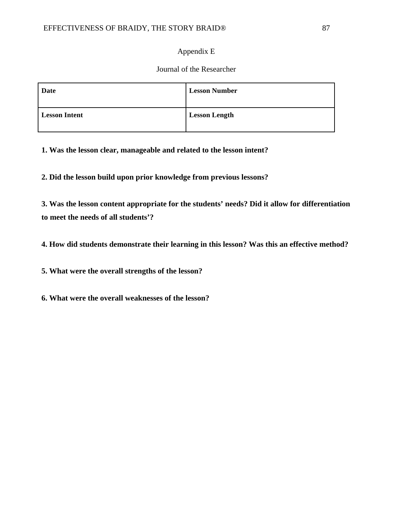# Appendix E

# Journal of the Researcher

| Date                 | <b>Lesson Number</b> |
|----------------------|----------------------|
| <b>Lesson Intent</b> | <b>Lesson Length</b> |

**1. Was the lesson clear, manageable and related to the lesson intent?**

**2. Did the lesson build upon prior knowledge from previous lessons?**

**3. Was the lesson content appropriate for the students' needs? Did it allow for differentiation to meet the needs of all students'?**

**4. How did students demonstrate their learning in this lesson? Was this an effective method?**

**5. What were the overall strengths of the lesson?**

**6. What were the overall weaknesses of the lesson?**